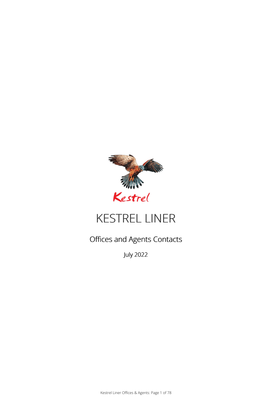

# KESTREL LINER

# Offices and Agents Contacts

July 2022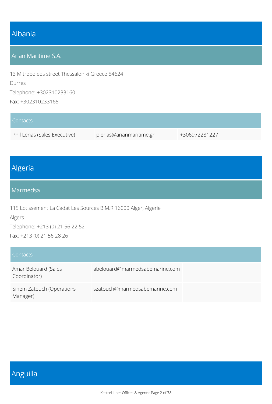### Albania

#### Arian Maritime S.A.

13 Mitropoleos street Thessaloniki Greece 54624 Durres Telephone: +302310233160 Fax: +302310233165

#### **Contacts**

Phil Lerias (Sales Executive) plerias@arianmaritime.gr +306972281227

# Algeria

#### Marmedsa

115 Lotissement La Cadat Les Sources B.M.R 16000 Alger, Algerie Algers Telephone: +213 (0) 21 56 22 52

Fax: +213 (0) 21 56 28 26

| Contacts                              |                                |
|---------------------------------------|--------------------------------|
| Amar Belouard (Sales<br>Coordinator)  | abelouard@marmedsabemarine.com |
| Sihem Zatouch (Operations<br>Manager) | szatouch@marmedsabemarine.com  |

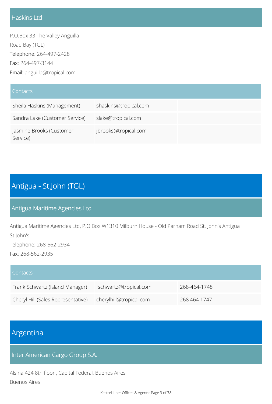### Haskins Ltd

P.O.Box 33 The Valley Anguilla Road Bay (TGL) Telephone: 264-497-2428 Fax: 264-497-3144 Email: anguilla@tropical.com

| Contacts                             |                       |
|--------------------------------------|-----------------------|
| Sheila Haskins (Management)          | shaskins@tropical.com |
| Sandra Lake (Customer Service)       | slake@tropical.com    |
| Jasmine Brooks (Customer<br>Service) | jbrooks@tropical.com  |

# Antigua - St.John (TGL)

### Antigua Maritime Agencies Ltd

Antigua Maritime Agencies Ltd, P.O.Box W1310 Milburn House - Old Parham Road St. John's Antigua St.John's Telephone: 268-562-2934

Fax: 268-562-2935

| Contacts                           |                         |              |
|------------------------------------|-------------------------|--------------|
| Frank Schwartz (Island Manager)    | fschwartz@tropical.com  | 268-464-1748 |
| Cheryl Hill (Sales Representative) | cherylhill@tropical.com | 268 464 1747 |

# Argentina

Inter American Cargo Group S.A.

Alsina 424 8th floor , Capital Federal, Buenos Aires Buenos Aires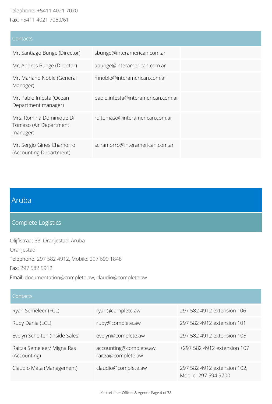#### Telephone: +5411 4021 7070 Fax: +5411 4021 7060/61

**Contacts** Mr. Santiago Bunge (Director) sbunge@interamerican.com.ar Mr. Andres Bunge (Director) abunge@interamerican.com.ar Mr. Mariano Noble (General Manager) mnoble@interamerican.com.ar Mr. Pablo Infesta (Ocean Department manager) pablo.infesta@interamerican.com.ar Mrs. Romina Dominique Di Tomaso (Air Department manager) rditomaso@interamerican.com.ar Mr. Sergio Gines Chamorro (Accounting Department) schamorro@interamerican.com.ar

### Aruba

#### Complete Logistics

Olijfistraat 33, Oranjestad, Aruba Oranjestad Telephone: 297 582 4912, Mobile: 297 699 1848 Fax: 297 582 5912 Email: documentation@complete.aw, claudio@complete.aw

#### **Contacts**

| Ryan Semeleer (FCL)                        | ryan@complete.aw                              | 297 582 4912 extension 106                          |
|--------------------------------------------|-----------------------------------------------|-----------------------------------------------------|
| Ruby Dania (LCL)                           | ruby@complete.aw                              | 297 582 4912 extension 101                          |
| Evelyn Scholten (Inside Sales)             | evelyn@complete.aw                            | 297 582 4912 extension 105                          |
| Raitza Semeleer/ Migna Ras<br>(Accounting) | accounting@complete.aw,<br>raitza@complete.aw | +297 582 4912 extension 107                         |
| Claudio Mata (Management)                  | claudio@complete.aw                           | 297 582 4912 extension 102,<br>Mobile: 297 594 9700 |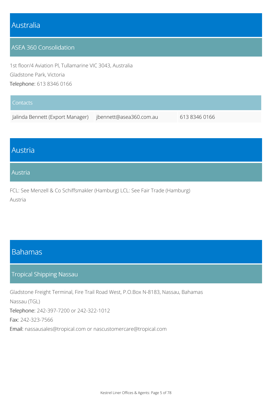### Australia

#### ASEA 360 Consolidation

1st floor/4 Aviation Pl, Tullamarine VIC 3043, Australia Gladstone Park, Victoria Telephone: 613 8346 0166

| Contacts                         |                         |               |
|----------------------------------|-------------------------|---------------|
| Jalinda Bennett (Export Manager) | jbennett@asea360.com.au | 613 8346 0166 |

### Austria

#### Austria

FCL: See Menzell & Co Schiffsmakler (Hamburg) LCL: See Fair Trade (Hamburg) Austria

### Bahamas

#### Tropical Shipping Nassau

Gladstone Freight Terminal, Fire Trail Road West, P.O.Box N-8183, Nassau, Bahamas Nassau (TGL) Telephone: 242-397-7200 or 242-322-1012 Fax: 242-323-7566 Email: nassausales@tropical.com or nascustomercare@tropical.com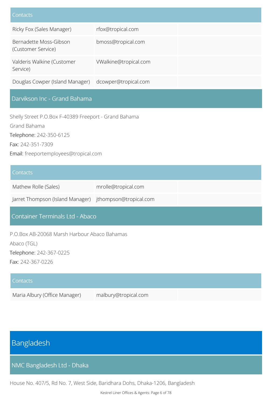| Contacts                                     |                       |
|----------------------------------------------|-----------------------|
| Ricky Fox (Sales Manager)                    | rfox@tropical.com     |
| Bernadette Moss-Gibson<br>(Customer Service) | bmoss@tropical.com    |
| Valderis Walkine (Customer<br>Service)       | VWalkine@tropical.com |
| Douglas Cowper (Island Manager)              | dcowper@tropical.com  |

### Darvikson Inc - Grand Bahama

Shelly Street P.O.Box F-40389 Freeport - Grand Bahama Grand Bahama Telephone: 242-350-6125 Fax: 242-351-7309 Email: freeportemployees@tropical.com

#### Contacts

| <b>CONTRACTO</b>                                        |                     |
|---------------------------------------------------------|---------------------|
| Mathew Rolle (Sales)                                    | mrolle@tropical.com |
| Jarret Thompson (Island Manager) jthompson@tropical.com |                     |

#### Container Terminals Ltd - Abaco

P.O.Box AB-20068 Marsh Harbour Abaco Bahamas Abaco (TGL) Telephone: 242-367-0225 Fax: 242-367-0226

| Contacts                      |                      |  |
|-------------------------------|----------------------|--|
| Maria Albury (Office Manager) | malbury@tropical.com |  |

### Bangladesh

NMC Bangladesh Ltd - Dhaka

House No. 407/5, Rd No. 7, West Side, Baridhara Dohs, Dhaka-1206, Bangladesh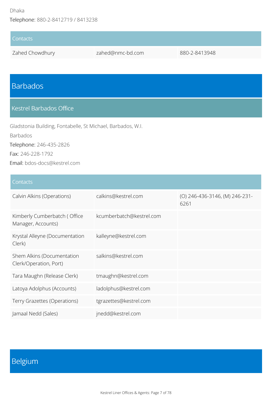#### Dhaka

Telephone: 880-2-8412719 / 8413238

# **Contacts** Zahed Chowdhury zahed@nmc-bd.com 880-2-8413948

# Barbados

#### Kestrel Barbados Office

Gladstonia Building, Fontabelle, St Michael, Barbados, W.I.

Barbados

Telephone: 246-435-2826

Fax: 246-228-1792

Email: bdos-docs@kestrel.com

#### **Contacts**

| Calvin Alkins (Operations)                           | calkins@kestrel.com      | (O) 246-436-3146, (M) 246-231-<br>6261 |
|------------------------------------------------------|--------------------------|----------------------------------------|
| Kimberly Cumberbatch (Office<br>Manager, Accounts)   | kcumberbatch@kestrel.com |                                        |
| Krystal Alleyne (Documentation<br>Clerk)             | kalleyne@kestrel.com     |                                        |
| Shem Alkins (Documentation<br>Clerk/Operation, Port) | salkins@kestrel.com      |                                        |
| Tara Maughn (Release Clerk)                          | tmaughn@kestrel.com      |                                        |
| Latoya Adolphus (Accounts)                           | ladolphus@kestrel.com    |                                        |
| Terry Grazettes (Operations)                         | tgrazettes@kestrel.com   |                                        |
| Jamaal Nedd (Sales)                                  | jnedd@kestrel.com        |                                        |

# Belgium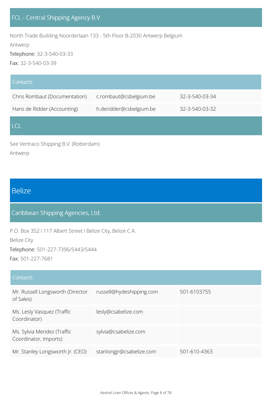North Trade Building Noorderlaan 133 - 5th Floor B-2030 Antwerp Belgium

Antwerp

Telephone: 32-3-540-03-33

Fax: 32-3-540-03-39

| Contacts                      |                         |                |
|-------------------------------|-------------------------|----------------|
| Chris Rombaut (Documentation) | c.rombaut@csbelgium.be  | 32-3-540-03-34 |
| Hans de Ridder (Accounting)   | h.deridder@csbelgium.be | 32-3-540-03-32 |
| LCL.                          |                         |                |

See Vertraco Shipping B.V. (Rotterdam) Antwerp

### Belize

### Caribbean Shipping Agencies, Ltd.

P.O. Box 352 I 117 Albert Street I Belize City, Belize C.A.

Belize City

Telephone: 501-227-7396/5443/5444

Fax: 501-227-7681

| Contacts                                            |                          |              |
|-----------------------------------------------------|--------------------------|--------------|
| Mr. Russell Longsworth (Director<br>of Sales)       | russell@hydeshipping.com | 501-6103755  |
| Ms. Lesly Vasquez (Traffic<br>Coordinator)          | lesly@csabelize.com      |              |
| Ms. Sylvia Mendez (Traffic<br>Coordinator, Imports) | sylvia@csabelize.com     |              |
| Mr. Stanley Longsworth Jr. (CEO)                    | stanlongjr@csabelize.com | 501-610-4363 |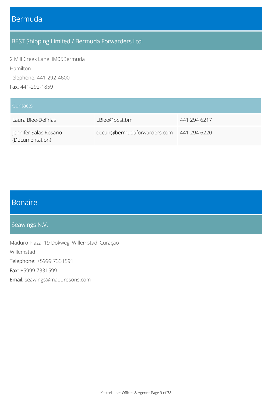### Bermuda

### BEST Shipping Limited / Bermuda Forwarders Ltd

2 Mill Creek LaneHM05Bermuda Hamilton Telephone: 441-292-4600 Fax: 441-292-1859

| Contacts                                  |                             |              |
|-------------------------------------------|-----------------------------|--------------|
| Laura Blee-DeFrias                        | LBlee@best.bm               | 441 294 6217 |
| Jennifer Salas Rosario<br>(Documentation) | ocean@bermudaforwarders.com | 441 294 6220 |

# Bonaire

### Seawings N.V.

Maduro Plaza, 19 Dokweg, Willemstad, Curaçao Willemstad Telephone: +5999 7331591 Fax: +5999 7331599 Email: seawings@madurosons.com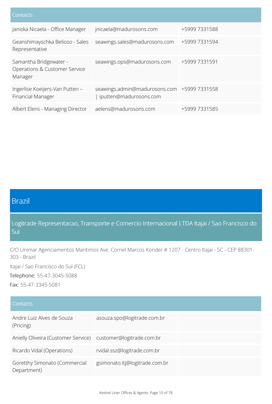| Janiska Nicaela - Office Manager                                   | jnicaela@madurosons.com                                               | +5999 7331588 |
|--------------------------------------------------------------------|-----------------------------------------------------------------------|---------------|
| Geanshimayschka Belioso - Sales<br>Representative                  | seawings.sales@madurosons.com                                         | +5999 7331594 |
| Samantha Bridgewater -<br>Operations & Customer Service<br>Manager | seawings.ops@madurosons.com                                           | +5999 7331591 |
| Ingerlise Koeijers-Van Putten -<br>Financial Manager               | seawings.admin@madurosons.com +5999 7331558<br>iputten@madurosons.com |               |
| Albert Elens - Managing Director                                   | aelens@madurosons.com                                                 | +5999 7331585 |

# Brazil

Logitrade Representacao, Transporte e Comercio Internacional LTDA Itajai / Sao Francisco do Sul

C/O Unimar Agenciamentos Maritimos Ave. Cornel Marcos Konder # 1207 - Centro Itajai - SC - CEP 88301- 303 - Brazil

Itajai / Sao Francisco do Sul (FCL)

Telephone: 55-47-3045-5088

Fax: 55-47-3345-5081

| Contacts                                                      |                                |
|---------------------------------------------------------------|--------------------------------|
| Andre Luiz Alves de Souza<br>(Pricing)                        | asouza.spo@logitrade.com.br    |
| Anielly Oliveira (Customer Service) customer@logitrade.com.br |                                |
| Ricardo Vidal (Operations)                                    | rvidal.ssz@logitrade.com.br    |
| Goretthy Simonato (Commercial<br>Department)                  | gsimonato.itj@logitrade.com.br |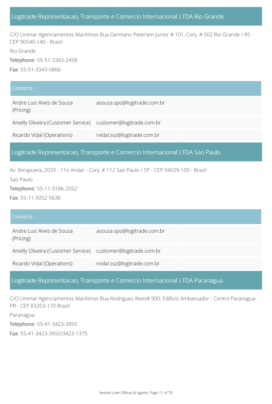#### Logitrade Representacao, Transporte e Comercio Internacional LTDA Rio Grande

C/O Unimar Agenciamentos Maritimos Rua Germano Petersen Junior # 101, Conj. # 502 Rio Grande / RS - CEP 90540-140 - Brazil

Rio Grande

Telephone: 55-51-3343-2458

Fax: 55-51-3343-0866

| <b>Contacts</b>                                               |                             |
|---------------------------------------------------------------|-----------------------------|
| Andre Luiz Alves de Souza<br>(Pricing)                        | asouza.spo@logitrade.com.br |
| Anielly Oliveira (Customer Service) customer@logitrade.com.br |                             |
| Ricardo Vidal (Operations)                                    | rvidal.ssz@logitrade.com.br |

#### Logitrade Representacao, Transporte e Comercio Internacional LTDA Sao Paulo

Av. Ibirapuera, 2033 - 11o Andar - Conj. # 112 Sao Paulo / SP - CEP 04029-100 - Brazil

Sao Paulo

Telephone: 55-11-3186-2052

Fax: 55-11-5052-5636

| <b>Contacts</b>                                               |                             |
|---------------------------------------------------------------|-----------------------------|
| Andre Luiz Alves de Souza<br>(Pricing)                        | asouza.spo@logitrade.com.br |
| Anielly Oliveira (Customer Service) customer@logitrade.com.br |                             |
| Ricardo Vidal (Operations)                                    | rvidal.ssz@logitrade.com.br |

#### Logitrade Representacao, Transporte e Comercio Internacional LTDA Paranagua

C/O Unimar Agenciamentos Maritimos Rua Rodriguez Alves# 900, Edificio Ambassador - Centro Paranagua PR - CEP 83203-170 Brazil

Paranagua

Telephone: 55-41-3423-3950

Fax: 55-41-3423-3950/3423-1375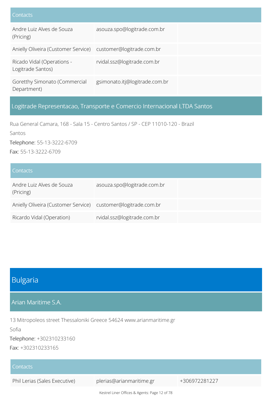| Contacts                                                      |                                |
|---------------------------------------------------------------|--------------------------------|
| Andre Luiz Alves de Souza<br>(Pricing)                        | asouza.spo@logitrade.com.br    |
| Anielly Oliveira (Customer Service) customer@logitrade.com.br |                                |
| Ricado Vidal (Operations -<br>Logitrade Santos)               | rvidal.ssz@logitrade.com.br    |
| Goretthy Simonato (Commercial<br>Department)                  | gsimonato.itj@logitrade.com.br |

### Logitrade Representacao, Transporte e Comercio Internacional LTDA Santos

Rua General Camara, 168 - Sala 15 - Centro Santos / SP - CEP 11010-120 - Brazil Santos Telephone: 55-13-3222-6709 Fax: 55-13-3222-6709

| <b>Contacts</b>                                               |                             |
|---------------------------------------------------------------|-----------------------------|
| Andre Luiz Alves de Souza<br>(Pricing)                        | asouza.spo@logitrade.com.br |
| Anielly Oliveira (Customer Service) customer@logitrade.com.br |                             |
| Ricardo Vidal (Operation)                                     | rvidal.ssz@logitrade.com.br |

### Bulgaria

Arian Maritime S.A.

13 Mitropoleos street Thessaloniki Greece 54624 www.arianmaritime.gr Sofia

Telephone: +302310233160

Fax: +302310233165

| Contacts                      |                          |               |
|-------------------------------|--------------------------|---------------|
| Phil Lerias (Sales Executive) | plerias@arianmaritime.gr | +306972281227 |

Kestrel Liner Offices & Agents: Page 12 of 78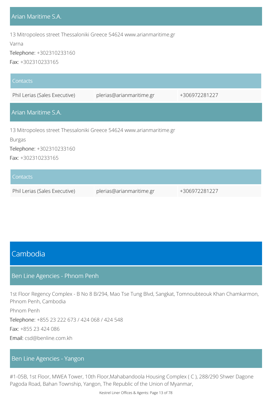#### Arian Maritime S.A.

13 Mitropoleos street Thessaloniki Greece 54624 www.arianmaritime.gr

Varna

Telephone: +302310233160

Fax: +302310233165

| Contacts                                                                              |                          |               |  |  |
|---------------------------------------------------------------------------------------|--------------------------|---------------|--|--|
| Phil Lerias (Sales Executive)                                                         | plerias@arianmaritime.gr | +306972281227 |  |  |
| Arian Maritime S.A.                                                                   |                          |               |  |  |
| 13 Mitropoleos street Thessaloniki Greece 54624 www.arianmaritime.gr<br><b>Burgas</b> |                          |               |  |  |
| Telephone: +302310233160                                                              |                          |               |  |  |
| Fax: +302310233165                                                                    |                          |               |  |  |
| Contacts                                                                              |                          |               |  |  |

| Phil Lerias (Sales Executive) | plerias@arianmaritime.gr | +306972281227 |
|-------------------------------|--------------------------|---------------|
|                               |                          |               |

### Cambodia

#### Ben Line Agencies - Phnom Penh

1st Floor Regency Complex - B No 8 B/294, Mao Tse Tung Blvd, Sangkat, Tomnoubteouk Khan Chamkarmon, Phnom Penh, Cambodia

Phnom Penh

Telephone: +855 23 222 673 / 424 068 / 424 548

Fax: +855 23 424 086

Email: csd@benline.com.kh

#### Ben Line Agencies - Yangon

#1-05B, 1st Floor, MWEA Tower, 10th Floor,Mahabandoola Housing Complex ( C ), 288/290 Shwer Dagone Pagoda Road, Bahan Township, Yangon, The Republic of the Union of Myanmar,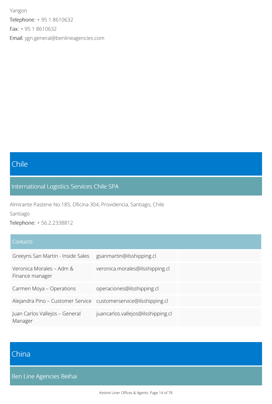Yangon Telephone: + 95 1 8610632 Fax: + 95 1 8610632 Email: ygn.general@benlineagencies.com

# Chile

### International Logistics Services Chile SPA

Almirante Pastene No.185, Oficina 304, Providencia, Santiago, Chile

Santiago

Telephone: + 56.2.2338812

#### **Contacts**

| Greeyns San Martin - Inside Sales                                | gsanmartin@ilsshipping.cl          |
|------------------------------------------------------------------|------------------------------------|
| Veronica Morales - Adm &<br>Finance manager                      | veronica.morales@ilsshipping.cl    |
| Carmen Moya - Operations                                         | operaciones@ilsshipping.cl         |
| Alejandra Pino – Customer Service customerservice@ilsshipping.cl |                                    |
| Juan Carlos Vallejos - General<br>Manager                        | juancarlos.vallejos@ilsshipping.cl |

# China

Ben Line Agencies Beihai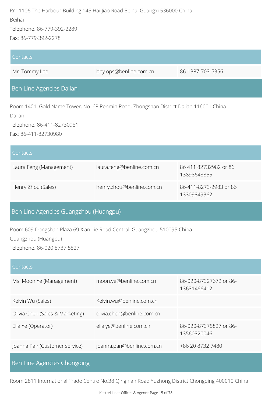Rm 1106 The Harbour Building 145 Hai Jiao Road Beihai Guangxi 536000 China Beihai

Telephone: 86-779-392-2289

Fax: 86-779-392-2278

# **Contacts** Mr. Tommy Lee bhy.ops@benline.com.cn 86-1387-703-5356 Ben Line Agencies Dalian Room 1401, Gold Name Tower, No. 68 Renmin Road, Zhongshan District Dalian 116001 China Dalian Telephone: 86-411-82730981 Fax: 86-411-82730980 **Contacts** Laura Feng (Management) laura.feng@benline.com.cn 86 411 82732982 or 86 13898648855 Henry Zhou (Sales) henry.zhou@benline.com.cn 86-411-8273-2983 or 86 13309849362 Ben Line Agencies Guangzhou (Huangpu) Room 609 Dongshan Plaza 69 Xian Lie Road Central, Guangzhou 510095 China Guangzhou (Huangpu) Telephone: 86-020 8737 5827 **Contacts**

| Ms. Moon Ye (Management)        | moon.ye@benline.com.cn     | 86-020-87327672 or 86-<br>13631466412 |
|---------------------------------|----------------------------|---------------------------------------|
| Kelvin Wu (Sales)               | Kelvin.wu@benline.com.cn   |                                       |
| Olivia Chen (Sales & Marketing) | olivia.chen@benline.com.cn |                                       |
| Ella Ye (Operator)              | ella.ye@benline.com.cn     | 86-020-87375827 or 86-<br>13560320046 |
| Joanna Pan (Customer service)   | joanna.pan@benline.com.cn  | +86 20 8732 7480                      |

Ben Line Agencies Chongqing

Room 2811 International Trade Centre No.38 Qingnian Road Yuzhong District Chongqing 400010 China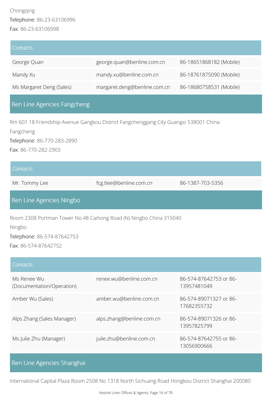### Chongqing Telephone: 86-23-63106996 Fax: 86-23-63106998

| l Contacts               |                              |                         |
|--------------------------|------------------------------|-------------------------|
| George Quan              | george.quan@benline.com.cn   | 86-18651868182 (Mobile) |
| Mandy Xu                 | mandy.xu@benline.com.cn      | 86-18761875090 (Mobile) |
| Ms Margaret Deng (Sales) | margaret.deng@benline.com.cn | 86-18680758531 (Mobile) |

### Ben Line Agencies Fangcheng

Rm 601 18 Friendship Avenue Gangkou District Fangchenggang City Guangxi 538001 China Fangcheng Telephone: 86-770-283-2890 Fax: 86-770-282-2903

| Contacts      |                         |                  |
|---------------|-------------------------|------------------|
| Mr. Tommy Lee | fcg.tlee@benline.com.cn | 86-1387-703-5356 |

#### Ben Line Agencies Ningbo

Room 2308 Portman Tower No.48 Caihong Road (N) Ningbo China 315040

Ningbo

Telephone: 86-574-87642753 Fax: 86-574-87642752

#### **Contacts**

| Ms Renee Wu<br>(Documentation/Operation) | renee.wu@benline.com.cn   | 86-574-87642753 or 86-<br>13957481049 |
|------------------------------------------|---------------------------|---------------------------------------|
| Amber Wu (Sales)                         | amber.wu@benline.com.cn   | 86-574-89071327 or 86-<br>17682355732 |
| Alps Zhang (Sales Manager)               | alps.zhang@benline.com.cn | 86-574-89071326 or 86-<br>13957825799 |
| Ms Julie Zhu (Manager)                   | julie.zhu@benline.com.cn  | 86-574-87642755 or 86-<br>13056900666 |

#### Ben Line Agencies Shanghai

International Capital Plaza Room 2508 No 1318 North Sichuang Road Hongkou District Shanghai 200080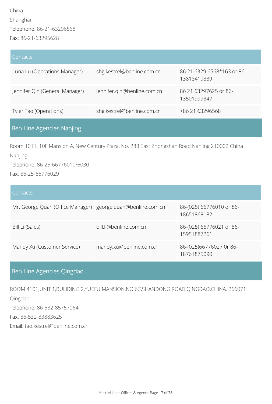| Contacts                       |                             |                                           |
|--------------------------------|-----------------------------|-------------------------------------------|
| Luna Lu (Operations Manager)   | shg.kestrel@benline.com.cn  | 86 21 6329 6568*163 or 86-<br>13818419339 |
| Jennifer Qin (General Manager) | jennifer.qin@benline.com.cn | 86 21 63297625 or 86-<br>13501999347      |
| Tyler Tao (Operations)         | shg.kestrel@benline.com.cn  | +86 21 63296568                           |
|                                |                             |                                           |

### Ben Line Agencies Nanjing

Room 1011, 10F Mansion A, New Century Plaza, No. 288 East Zhongshan Road Nanjing 210002 China Nanjing

Telephone: 86-25-66776010/6030

Fax: 86-25-66776029

#### **Contacts**

| Mr. George Quan (Office Manager) george.quan@benline.com.cn |                         | 86-(025) 66776010 or 86-<br>18651868182 |
|-------------------------------------------------------------|-------------------------|-----------------------------------------|
| Bill Li (Sales)                                             | bill.li@benline.com.cn  | 86-(025) 66776021 or 86-<br>15951887261 |
| Mandy Xu (Customer Service)                                 | mandy.xu@benline.com.cn | 86-(025)66776027 0r 86-<br>18761875090  |

### Ben Line Agencies Qingdao

ROOM 4101,UNIT 1,BULIDING 2,YUEFU MANSION,NO.6C,SHANDONG ROAD,QINGDAO,CHINA. 266071

Qingdao

Telephone: 86-532-85757064

Fax: 86-532-83883625

Email: tao.kestrel@benline.com.cn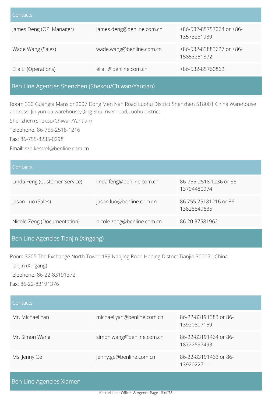| <b>Contacts</b>          |                           |                                         |
|--------------------------|---------------------------|-----------------------------------------|
| James Deng (OP. Manager) | james.deng@benline.com.cn | +86-532-85757064 or +86-<br>13573231939 |
| Wade Wang (Sales)        | wade.wang@benline.com.cn  | +86-532-83883627 or +86-<br>15853251872 |
| Ella Li (Operations)     | ella.li@benline.com.cn    | +86-532-85760862                        |

#### Ben Line Agencies Shenzhen (Shekou/Chiwan/Yantian)

Room 330 Guangfa Mansion2007 Dong Men Nan Road Luohu District Shenzhen 518001 China Warehouse address: Jin yun da warehouse,Qing Shui river road,Luohu district

Shenzhen (Shekou/Chiwan/Yantian)

Telephone: 86-755-2518-1216

Fax: 86-755-8235-0298

Email: szp.kestrel@benline.com.cn

| <b>Contacts</b>               |                            |                                       |
|-------------------------------|----------------------------|---------------------------------------|
| Linda Feng (Customer Service) | linda.feng@benline.com.cn  | 86-755-2518 1236 or 86<br>13794480974 |
| Jason Luo (Sales)             | jason.luo@benline.com.cn   | 86 755 25181216 or 86<br>13828849635  |
| Nicole Zeng (Documentation)   | nicole.zeng@benline.com.cn | 86 20 37581962                        |

#### Ben Line Agencies Tianjin (Xingang)

Room 3205 The Exchange North Tower 189 Nanjing Road Heping District Tianjin 300051 China Tianjin (Xingang) Telephone: 86-22-83191372 Fax: 86-22-83191376

| Contacts        |                            |                                      |
|-----------------|----------------------------|--------------------------------------|
| Mr. Michael Yan | michael.yan@benline.com.cn | 86-22-83191383 or 86-<br>13920807159 |
| Mr. Simon Wang  | simon.wang@benline.com.cn  | 86-22-83191464 or 86-<br>18722597493 |
| Ms. Jenny Ge    | jenny.ge@benline.com.cn    | 86-22-83191463 or 86-<br>13920227111 |

|  | Ben Line Agencies Xiamen |  |
|--|--------------------------|--|
|  |                          |  |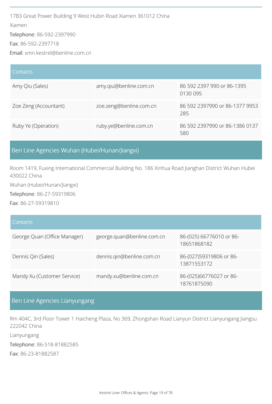17B3 Great Power Building 9 West Hubin Road Xiamen 361012 China Xiamen Telephone: 86-592-2397990 Fax: 86-592-2397718 Email: xmn.kestrel@benline.com.cn

| Contacts              |                         |                                        |
|-----------------------|-------------------------|----------------------------------------|
| Amy Qiu (Sales)       | amy.qiu@benline.com.cn  | 86 592 2397 990 or 86-1395<br>0130 095 |
| Zoe Zeng (Accountant) | zoe.zeng@benline.com.cn | 86 592 2397990 or 86-1377 9953<br>285  |
| Ruby Ye (Operation)   | ruby.ye@benline.com.cn  | 86 592 2397990 or 86-1386 0137<br>580  |

#### Ben Line Agencies Wuhan (Hubei/Hunan/Jiangxi)

Room 1419, Fuxing International Commercial Building No. 186 Xinhua Road Jianghan District Wuhan Hubei 430022 China

Wuhan (Hubei/Hunan/Jiangxi)

Telephone: 86-27-59319806

Fax: 86-27-59319810

#### **Contacts**

| George Quan (Office Manager) | george.quan@benline.com.cn | 86-(025) 66776010 or 86-<br>18651868182 |
|------------------------------|----------------------------|-----------------------------------------|
| Dennis Qin (Sales)           | dennis.qin@benline.com.cn  | 86-(027)59319806 or 86-<br>13871553172  |
| Mandy Xu (Customer Service)  | mandy.xu@benline.com.cn    | 86-(025)66776027 or 86-<br>18761875090  |

### Ben Line Agencies Lianyungang

Rm 404C, 3rd Floor Tower 1 Haicheng Plaza, No 369, Zhongshan Road Lianyun District Lianyungang Jiangsu 222042 China Lianyungang Telephone: 86-518-81882585 Fax: 86-23-81882587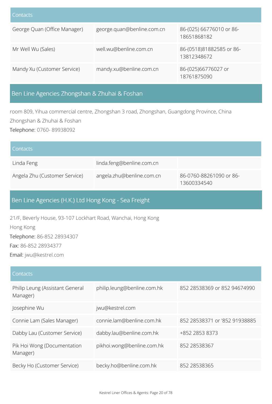| Contacts                     |                            |                                         |
|------------------------------|----------------------------|-----------------------------------------|
| George Quan (Office Manager) | george.quan@benline.com.cn | 86-(025) 66776010 or 86-<br>18651868182 |
| Mr Well Wu (Sales)           | well.wu@benline.com.cn     | 86-(0518)81882585 or 86-<br>13812348672 |
| Mandy Xu (Customer Service)  | mandy.xu@benline.com.cn    | 86-(025)66776027 or<br>18761875090      |

### Ben Line Agencies Zhongshan & Zhuhai & Foshan

room 809, Yihua commercial centre, Zhongshan 3 road, Zhongshan, Guangdong Province, China Zhongshan & Zhuhai & Foshan

Telephone: 0760- 89938092

| Contacts                      |                           |                                        |
|-------------------------------|---------------------------|----------------------------------------|
| Linda Feng                    | linda.feng@benline.com.cn |                                        |
| Angela Zhu (Customer Service) | angela.zhu@benline.com.cn | 86-0760-88261090 or 86-<br>13600334540 |

### Ben Line Agencies (H.K.) Ltd Hong Kong - Sea Freight

21/F, Beverly House, 93-107 Lockhart Road, Wanchai, Hong Kong Hong Kong Telephone: 86-852 28934307 Fax: 86-852 28934377 Email: jwu@kestrel.com

| Contacts                                    |                             |                               |
|---------------------------------------------|-----------------------------|-------------------------------|
| Philip Leung (Assistant General<br>Manager) | philip.leung@benline.com.hk | 852 28538369 or 852 94674990  |
| Josephine Wu                                | jwu@kestrel.com             |                               |
| Connie Lam (Sales Manager)                  | connie.lam@benline.com.hk   | 852 28538371 or '852 91938885 |
| Dabby Lau (Customer Service)                | dabby.lau@benline.com.hk    | +852 2853 8373                |
| Pik Hoi Wong (Documentation<br>Manager)     | pikhoi.wong@benline.com.hk  | 852 28538367                  |
| Becky Ho (Customer Service)                 | becky.ho@benline.com.hk     | 852 28538365                  |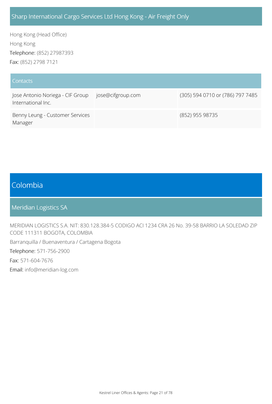#### Sharp International Cargo Services Ltd Hong Kong - Air Freight Only

Hong Kong (Head Office) Hong Kong Telephone: (852) 27987393 Fax: (852) 2798 7121

#### **Contacts** Jose Antonio Noriega - CIF Group International Inc. jose@cifgroup.com (305) 594 0710 or (786) 797 7485 Benny Leung - Customer Services Manager (852) 955 98735

### Colombia

Meridian Logistics SA

MERIDIAN LOGISTICS S.A. NIT: 830.128.384-5 CODIGO ACI 1234 CRA 26 No. 39-58 BARRIO LA SOLEDAD ZIP CODE 111311 BOGOTA, COLOMBIA

Barranquilla / Buenaventura / Cartagena Bogota

Telephone: 571-756-2900

Fax: 571-604-7676

Email: info@meridian-log.com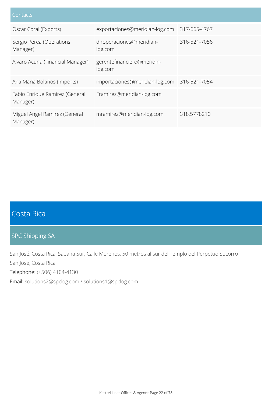| Contacts                                   |                                       |              |
|--------------------------------------------|---------------------------------------|--------------|
| Oscar Coral (Exports)                      | exportaciones@meridian-log.com        | 317-665-4767 |
| Sergio Perea (Operations<br>Manager)       | diroperaciones@meridian-<br>log.com   | 316-521-7056 |
| Alvaro Acuna (Financial Manager)           | gerentefinanciero@meridin-<br>log.com |              |
| Ana Maria Bolaños (Imports)                | importaciones@meridian-log.com        | 316-521-7054 |
| Fabio Enrique Ramirez (General<br>Manager) | Framirez@meridian-log.com             |              |
| Miguel Angel Ramirez (General<br>Manager)  | mramirez@meridian-log.com             | 318.5778210  |

# Costa Rica

### SPC Shipping SA

San José, Costa Rica, Sabana Sur, Calle Morenos, 50 metros al sur del Templo del Perpetuo Socorro San José, Costa Rica Telephone: (+506) 4104-4130

Email: solutions2@spclog.com / solutions1@spclog.com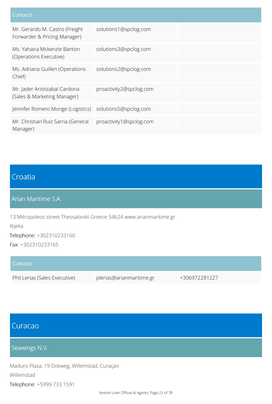| Contacts                                                       |                         |
|----------------------------------------------------------------|-------------------------|
| Mr. Gerardo M. Castro (Freight<br>Forwarder & Pricing Manager) | solutions1@spclog.com   |
| Ms. Yahaira Mckenzie Banton<br>(Operations Executive)          | solutions3@spclog.com   |
| Ms. Adriana Guillen (Operations<br>Chief)                      | solutions2@spclog.com   |
| Mr. Jader Aristizabal Cardona<br>(Sales & Marketing Manager)   | proactivity2@spclog.com |
| Jennifer Romero Monge (Logistics)                              | solutions5@spclog.com   |
| Mr. Christian Ruiz Sarria (General<br>Manager)                 | proactivity1@spclog.com |

### Croatia

Arian Maritime S.A.

13 Mitropoleos street Thessaloniki Greece 54624 www.arianmaritime.gr Rijeka Telephone: +302310233160 Fax: +302310233165

| Contacts                      |                          |               |
|-------------------------------|--------------------------|---------------|
| Phil Lerias (Sales Executive) | plerias@arianmaritime.gr | +306972281227 |

### Curacao

Seawings N.V.

Maduro Plaza, 19 Dokweg, Willemstad, Curaçao Willemstad Telephone: +5999 733 1591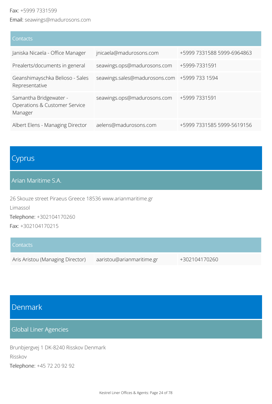#### Fax: +5999 7331599

Email: seawings@madurosons.com

| Contacts                                                           |                                              |                            |
|--------------------------------------------------------------------|----------------------------------------------|----------------------------|
| Janiska Nicaela - Office Manager                                   | jnicaela@madurosons.com                      | +5999 7331588 5999-6964863 |
| Prealerts/documents in general                                     | seawings.ops@madurosons.com                  | +5999-7331591              |
| Geanshimayschka Belioso - Sales<br>Representative                  | seawings.sales@madurosons.com +5999 733 1594 |                            |
| Samantha Bridgewater -<br>Operations & Customer Service<br>Manager | seawings.ops@madurosons.com                  | +5999 7331591              |
| Albert Elens - Managing Director                                   | aelens@madurosons.com                        | +5999 7331585 5999-5619156 |

# Cyprus

#### Arian Maritime S.A.

26 Skouze street Piraeus Greece 18536 www.arianmaritime.gr

Limassol

Telephone: +302104170260

Fax: +302104170215

| Contacts                         |                           |               |
|----------------------------------|---------------------------|---------------|
| Aris Aristou (Managing Director) | aaristou@arianmaritime.gr | +302104170260 |

## Denmark

### Global Liner Agencies

Brunbjergvej 1 DK-8240 Risskov Denmark Risskov Telephone: +45 72 20 92 92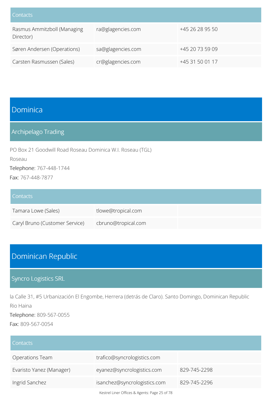| Contacts                                 |                   |                 |
|------------------------------------------|-------------------|-----------------|
| Rasmus Ammitzboll (Managing<br>Director) | ra@glagencies.com | +45 26 28 95 50 |
| Søren Andersen (Operations)              | sa@glagencies.com | +45 20 73 59 09 |
| Carsten Rasmussen (Sales)                | cr@glagencies.com | +45 31 50 01 17 |

### Dominica

### Archipelago Trading

PO Box 21 Goodwill Road Roseau Dominica W.I. Roseau (TGL)

Roseau

Telephone: 767-448-1744

Fax: 767-448-7877

#### **Contacts**

| Tamara Lowe (Sales)            | tlowe@tropical.com  |  |
|--------------------------------|---------------------|--|
| Caryl Bruno (Customer Service) | cbruno@tropical.com |  |

# Dominican Republic

### Syncro Logistics SRL

la Calle 31, #5 Urbanización El Engombe, Herrera (detrás de Claro). Santo Domingo, Dominican Republic Rio Haina

Telephone: 809-567-0055

Fax: 809-567-0054

| Contacts                 |                                               |              |
|--------------------------|-----------------------------------------------|--------------|
| Operations Team          | trafico@syncrologistics.com                   |              |
| Evaristo Yanez (Manager) | eyanez@syncrologistics.com                    | 829-745-2298 |
| Ingrid Sanchez           | isanchez@syncrologistics.com                  | 829-745-2296 |
|                          | Kestrel Liner Offices & Agents: Page 25 of 78 |              |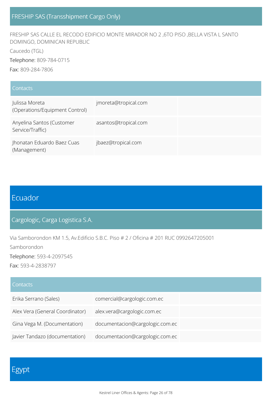FRESHIP SAS CALLE EL RECODO EDIFICIO MONTE MIRADOR NO 2 ,6TO PISO ,BELLA VISTA L SANTO DOMINGO, DOMINICAN REPUBLIC

Caucedo (TGL)

Telephone: 809-784-0715

Fax: 809-284-7806

| Contacts                                         |                      |
|--------------------------------------------------|----------------------|
| Julissa Moreta<br>(Operations/Equipment Control) | jmoreta@tropical.com |
| Anyelina Santos (Customer<br>Service/Traffic)    | asantos@tropical.com |
| Jhonatan Eduardo Baez Cuas<br>(Management)       | jbaez@tropical.com   |

### Ecuador

Cargologic, Carga Logistica S.A.

Via Samborondon KM 1.5, Av.Edificio S.B.C. Piso # 2 / Oficina # 201 RUC 0992647205001 Samborondon

Telephone: 593-4-2097545

Fax: 593-4-2838797

| <b>Contacts</b>                 |                                 |
|---------------------------------|---------------------------------|
| Erika Serrano (Sales)           | comercial@cargologic.com.ec     |
| Alex Vera (General Coordinator) | alex.vera@cargologic.com.ec     |
| Gina Vega M. (Documentation)    | documentacion@cargologic.com.ec |
| Javier Tandazo (documentation)  | documentacion@cargologic.com.ec |

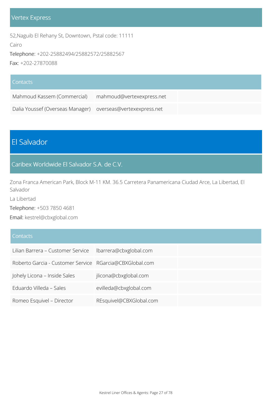#### Vertex Express

52,Naguib El Rehany St, Downtown, Pstal code: 11111

Cairo

Telephone: +202-25882494/25882572/25882567

Fax: +202-27870088

| Contacts                                                    |                           |  |
|-------------------------------------------------------------|---------------------------|--|
| Mahmoud Kassem (Commercial)                                 | mahmoud@vertexexpress.net |  |
| Dalia Youssef (Overseas Manager) overseas@vertexexpress.net |                           |  |

# El Salvador

#### Caribex Worldwide El Salvador S.A. de C.V.

Zona Franca American Park, Block M-11 KM. 36.5 Carretera Panamericana Ciudad Arce, La Libertad, El Salvador

La Libertad

Telephone: +503 7850 4681

Email: kestrel@cbxglobal.com

#### **Contacts**

| Lilian Barrera – Customer Service   Ibarrera@cbxglobal.com |                         |
|------------------------------------------------------------|-------------------------|
| Roberto Garcia - Customer Service RGarcia@CBXGlobal.com    |                         |
| Johely Licona - Inside Sales                               | jlicona@cbxglobal.com   |
| Eduardo Villeda – Sales                                    | evilleda@cbxglobal.com  |
| Romeo Esquivel - Director                                  | REsquivel@CBXGlobal.com |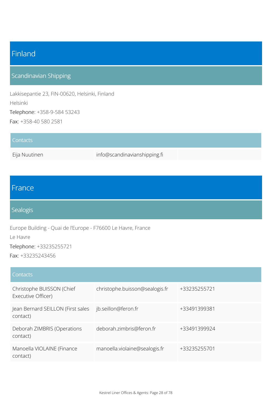# Finland

### Scandinavian Shipping

Lakkisepantie 23, FIN-00620, Helsinki, Finland Helsinki Telephone: +358-9-584 53243 Fax: +358-40 580 2581

| <b>Contacts</b> |                              |  |
|-----------------|------------------------------|--|
| Eija Nuutinen   | info@scandinavianshipping.fi |  |

### France

#### Sealogis

Europe Building - Quai de l'Europe - F76600 Le Havre, France Le Havre Telephone: +33235255721

Fax: +33235243456

| Contacts                                        |                                |              |
|-------------------------------------------------|--------------------------------|--------------|
| Christophe BUISSON (Chief<br>Executive Officer) | christophe.buisson@sealogis.fr | +33235255721 |
| Jean Bernard SEILLON (First sales<br>contact)   | jb.seillon@feron.fr            | +33491399381 |
| Deborah ZIMBRIS (Operations<br>contact)         | deborah.zimbris@feron.fr       | +33491399924 |
| Manoella VIOLAINE (Finance<br>contact)          | manoella.violaine@sealogis.fr  | +33235255701 |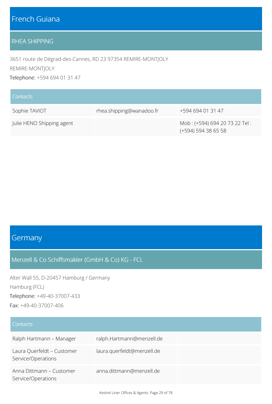### French Guiana

#### RHEA SHIPPING

3651 route de Dégrad-des-Cannes, RD 23 97354 REMIRE-MONTJOLY REMIRE-MONTJOLY Telephone: +594 694 01 31 47

| Contacts                  |                          |                                                      |
|---------------------------|--------------------------|------------------------------------------------------|
| Sophie TAVIOT             | rhea.shipping@wanadoo.fr | +594 694 01 31 47                                    |
| Julie HENO Shipping agent |                          | Mob: (+594) 694 20 73 22 Tel:<br>(+594) 594 38 65 58 |

### **Germany**

#### Menzell & Co Schiffsmakler (GmbH & Co) KG - FCL

Alter Wall 55, D-20457 Hamburg / Germany Hamburg (FCL) Telephone: +49-40-37007-433 Fax: +49-40-37007-406

#### **Contacts**

| Ralph Hartmann - Manager                         | ralph.Hartmann@menzell.de  |  |
|--------------------------------------------------|----------------------------|--|
| Laura Querfeldt - Customer<br>Service/Operations | laura.querfeldt@menzell.de |  |
| Anna Dittmann - Customer<br>Service/Operations   | anna.dittmann@menzell.de   |  |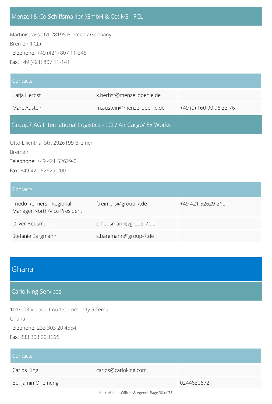#### Menzell & Co Schiffsmakler (GmbH & Co) KG - FCL

Martinistrasse 61 28195 Bremen / Germany Bremen (FCL) Telephone: +49 (421) 807 11-345 Fax: +49 (421) 807 11-141

| Contacts                                                     |                            |                         |
|--------------------------------------------------------------|----------------------------|-------------------------|
| Katja Herbst                                                 | k.herbst@menzelldoehle.de  |                         |
| Marc Austein                                                 | m.austein@menzelldoehle.de | +49 (0) 160 90 96 33 76 |
| Group7 AG International Logistics - LCL/ Air Cargo/ Ex Works |                            |                         |

Otto-Lilienthal-Str. 2926199 Bremen Bremen Telephone: +49 421 52629-0 Fax: +49 421 52629-200

#### **Contacts**

| Friedo Reimers - Regional<br>Manager North/Vice President | f.reimers@group-7.de  | +49 421 52629-210 |
|-----------------------------------------------------------|-----------------------|-------------------|
| Oliver Heusmann                                           | o.heusmann@group-7.de |                   |
| Stefanie Bargmann                                         | s.bargmann@group-7.de |                   |

### Ghana

#### Carlo King Services

101/103 Vertical Court Community 5 Tema Ghana Telephone: 233 303 20 4554 Fax: 233 303 20 1395

| Contacts         |                                               |            |
|------------------|-----------------------------------------------|------------|
| Carlos King      | carlos@carloking.com                          |            |
| Benjamin Ohemeng |                                               | 0244630672 |
|                  | Kestrel Liner Offices & Agents: Page 30 of 78 |            |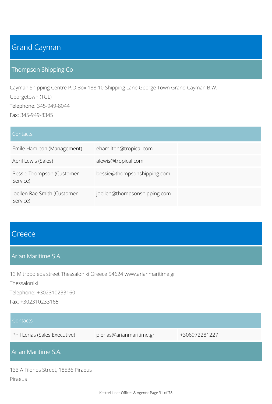# Grand Cayman

#### Thompson Shipping Co

Cayman Shipping Centre P.O.Box 188 10 Shipping Lane George Town Grand Cayman B.W.I Georgetown (TGL) Telephone: 345-949-8044 Fax: 345-949-8345

| Contacts                                |                              |  |
|-----------------------------------------|------------------------------|--|
| Emile Hamilton (Management)             | ehamilton@tropical.com       |  |
| April Lewis (Sales)                     | alewis@tropical.com          |  |
| Bessie Thompson (Customer<br>Service)   | bessie@thompsonshipping.com  |  |
| Joellen Rae Smith (Customer<br>Service) | joellen@thompsonshipping.com |  |

### **Greece**

#### Arian Maritime S.A.

13 Mitropoleos street Thessaloniki Greece 54624 www.arianmaritime.gr Thessaloniki Telephone: +302310233160 Fax: +302310233165

| Contacts                                       |                          |               |
|------------------------------------------------|--------------------------|---------------|
| Phil Lerias (Sales Executive)                  | plerias@arianmaritime.gr | +306972281227 |
| Arian Maritime S.A.                            |                          |               |
| 133 A Filonos Street, 18536 Piraeus<br>Piraeus |                          |               |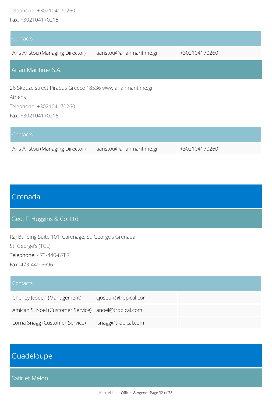#### Telephone: +302104170260

Fax: +302104170215

| Contacts                                                             |                           |               |
|----------------------------------------------------------------------|---------------------------|---------------|
| Aris Aristou (Managing Director)                                     | aaristou@arianmaritime.gr | +302104170260 |
| Arian Maritime S.A.                                                  |                           |               |
| 26 Skouze street Piraeus Greece 18536 www.arianmaritime.gr<br>Athens |                           |               |
| Telephone: +302104170260<br>Fax: +302104170215                       |                           |               |
| Contacts                                                             |                           |               |
| Aris Aristou (Managing Director)                                     | aaristou@arianmaritime.gr | +302104170260 |

# Grenada

Geo. F. Huggins & Co. Ltd

Raj Building Suite 101, Carenage, St. George's Grenada St. George's (TGL) Telephone: 473-440-8787 Fax: 473-440-6696

#### **Contacts**

| Cheney Joseph (Management)                           | cjoseph@tropical.com |  |
|------------------------------------------------------|----------------------|--|
| Amicah S. Noel (Customer Service) anoel@tropical.com |                      |  |
| Lorna Snagg (Customer Service)                       | Isnagg@tropical.com  |  |

# Guadeloupe

Safir et Melon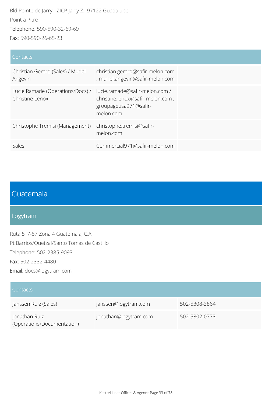Bld Pointe de Jarry - ZICP Jarry Z.I 97122 Guadalupe Point a Pitre Telephone: 590-590-32-69-69 Fax: 590-590-26-65-23

#### **Contacts**

| Christian Gerard (Sales) / Muriel<br>Angevin        | christian.gerard@safir-melon.com<br>; muriel.angevin@safir-melon.com                                     |
|-----------------------------------------------------|----------------------------------------------------------------------------------------------------------|
| Lucie Ramade (Operations/Docs) /<br>Christine Lenox | lucie.ramade@safir-melon.com /<br>christine.lenox@safir-melon.com;<br>groupageusa971@safir-<br>melon.com |
| Christophe Tremisi (Management)                     | christophe.tremisi@safir-<br>melon.com                                                                   |
| Sales                                               | Commercial971@safir-melon.com                                                                            |

# Guatemala

#### Logytram

Ruta 5, 7-87 Zona 4 Guatemala, C.A. Pt.Barrios/Quetzal/Santo Tomas de Castillo Telephone: 502-2385-9093 Fax: 502-2332-4480 Email: docs@logytram.com

| <b>Contacts</b>                             |                       |               |
|---------------------------------------------|-----------------------|---------------|
| Janssen Ruiz (Sales)                        | janssen@logytram.com  | 502-5308-3864 |
| Jonathan Ruiz<br>(Operations/Documentation) | jonathan@logytram.com | 502-5802-0773 |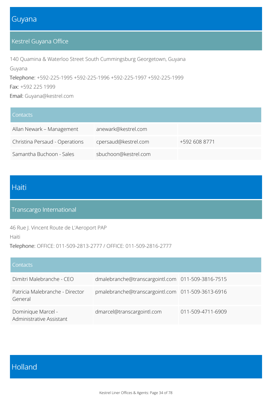### Guyana

### Kestrel Guyana Office

140 Quamina & Waterloo Street South Cummingsburg Georgetown, Guyana Guyana Telephone: +592-225-1995 +592-225-1996 +592-225-1997 +592-225-1999

Fax: +592 225 1999

Email: Guyana@kestrel.com

| Contacts                       |                      |               |
|--------------------------------|----------------------|---------------|
| Allan Newark - Management      | anewark@kestrel.com  |               |
| Christina Persaud - Operations | cpersaud@kestrel.com | +592 608 8771 |
| Samantha Buchoon - Sales       | sbuchoon@kestrel.com |               |

### Haiti

### Transcargo International

46 Rue J. Vincent Route de L'Aeroport PAP

Haiti

Telephone: OFFICE: 011-509-2813-2777 / OFFICE: 011-509-2816-2777

| Contacts                                       |                                                   |                   |
|------------------------------------------------|---------------------------------------------------|-------------------|
| Dimitri Malebranche - CEO                      | dmalebranche@transcargointl.com 011-509-3816-7515 |                   |
| Patricia Malebranche - Director<br>General     | pmalebranche@transcargointl.com 011-509-3613-6916 |                   |
| Dominique Marcel -<br>Administrative Assistant | dmarcel@transcargointl.com                        | 011-509-4711-6909 |

# Holland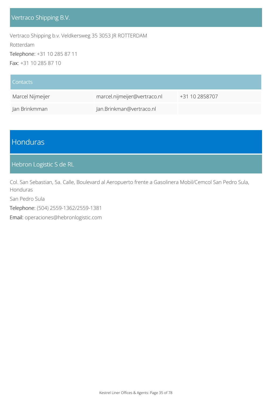Vertraco Shipping b.v. Veldkersweg 35 3053 JR ROTTERDAM Rotterdam Telephone: +31 10 285 87 11 Fax: +31 10 285 87 10

| <b>Contacts</b>  |                              |                |
|------------------|------------------------------|----------------|
| Marcel Nijmeijer | marcel.nijmeijer@vertraco.nl | +31 10 2858707 |
| Jan Brinkmman    | Jan.Brinkman@vertraco.nl     |                |

# Honduras

#### Hebron Logistic S de RL

Col. San Sebastian, 5a. Calle, Boulevard al Aeropuerto frente a Gasolinera Mobil/Cemcol San Pedro Sula, Honduras

San Pedro Sula

Telephone: (504) 2559-1362/2559-1381

Email: operaciones@hebronlogistic.com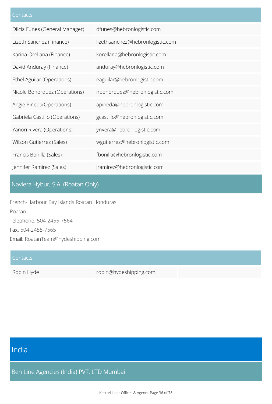| Dilcia Funes (General Manager) | dfunes@hebronlogistic.com        |
|--------------------------------|----------------------------------|
| Lizeth Sanchez (Finance)       | lizethsanchez@hebronlogistic.com |
| Karina Orellana (Finance)      | korellana@hebronlogistic.com     |
| David Anduray (Finance)        | anduray@hebronlogistic.com       |
| Ethel Aguilar (Operations)     | eaguilar@hebronlogistic.com      |
| Nicole Bohorquez (Operations)  | nbohorquez@hebronlogistic.com    |
| Angie Pineda(Operations)       | apineda@hebronlogistic.com       |
| Gabriela Castillo (Operations) | gcastillo@hebronlogistic.com     |
| Yanori Rivera (Operations)     | yrivera@hebronlogistic.com       |
| Wilson Gutierrez (Sales)       | wgutierrez@hebronlogistic.com    |
| Francis Bonilla (Sales)        | fbonilla@hebronlogistic.com      |
| Jennifer Ramirez (Sales)       | jramirez@hebronlogistic.com      |

### Naviera Hybur, S.A. (Roatan Only)

French-Harbour Bay Islands Roatan Honduras Roatan Telephone: 504-2455-7564 Fax: 504-2455-7565 Email: RoatanTeam@hydeshipping.com

#### **Contacts**

Robin Hyde robin@hydeshipping.com

# India

Ben Line Agencies (India) PVT. LTD Mumbai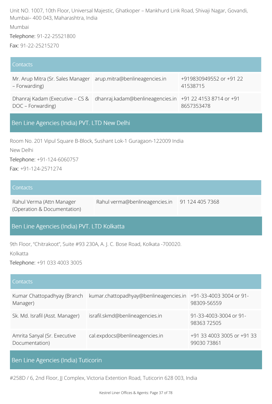Unit NO. 1007, 10th Floor, Universal Majestic, Ghatkoper – Mankhurd Link Road, Shivaji Nagar, Govandi, Mumbai– 400 043, Maharashtra, India Mumbai Telephone: 91-22-25521800

Fax: 91-22-25215270

#### **Contacts**

| Mr. Arup Mitra (Sr. Sales Manager   arup.mitra@benlineagencies.in<br>- Forwarding) |                                                                                          | +919830949552 or +91 22<br>41538715 |
|------------------------------------------------------------------------------------|------------------------------------------------------------------------------------------|-------------------------------------|
| DOC – Forwarding)                                                                  | Dhanraj Kadam (Executive - CS & dhanraj.kadam@benlineagencies.in +91 22 4153 8714 or +91 | 8657353478                          |

### Ben Line Agencies (India) PVT. LTD New Delhi

Room No. 201 Vipul Square B-Block, Sushant Lok-1 Guragaon-122009 India

New Delhi

Telephone: +91-124-6060757

Fax: +91-124-2571274

#### **Contacts**

Rahul Verma (Attn Manager (Operation & Documentation) Rahul verma@benlineagencies.in 91 124 405 7368

#### Ben Line Agencies (India) PVT. LTD Kolkatta

9th Floor, "Chitrakoot", Suite #93 230A, A. J. C. Bose Road, Kolkata -700020.

Kolkatta

Telephone: +91 033 4003 3005

| Contacts                                       |                                        |                                           |
|------------------------------------------------|----------------------------------------|-------------------------------------------|
| Kumar Chattopadhyay (Branch<br>Manager)        | kumar.chattopadhyay@benlineagencies.in | +91-33-4003 3004 or 91-<br>98309-56559    |
| Sk. Md. Israfil (Asst. Manager)                | israfil.skmd@benlineagencies.in        | 91-33-4003-3004 or 91-<br>9836372505      |
| Amrita Sanyal (Sr. Executive<br>Documentation) | cal.expdocs@benlineagencies.in         | +91 33 4003 3005 or +91 33<br>99030 73861 |

### Ben Line Agencies (India) Tuticorin

#258D / 6, 2nd Floor, JJ Complex, Victoria Extention Road, Tuticorin 628 003, India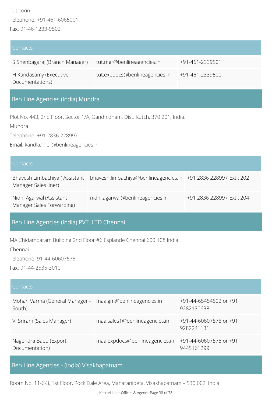| <b>Contacts</b>                             |                                |                 |
|---------------------------------------------|--------------------------------|-----------------|
| S Shenbagaraj (Branch Manager)              | tut.mgr@benlineagencies.in     | +91-461-2339501 |
| H Kandasamy (Executive -<br>Documentations) | tut.expdocs@benlineagencies.in | +91-461-2339500 |

### Ben Line Agencies (India) Mundra

Plot No. 443, 2nd Floor, Sector 1/A, Gandhidham, Dist. Kutch, 370 201, India.

Mundra

Telephone: +91 2836 228997

Email: kandla.liner@benlineagencies.in

| Contacts                                              |                                                                |                          |
|-------------------------------------------------------|----------------------------------------------------------------|--------------------------|
| Bhavesh Limbachiya (Assistant<br>Manager Sales liner) | bhavesh.limbachiya@benlineagencies.in +91 2836 228997 Ext: 202 |                          |
| Nidhi Agarwal (Assistant<br>Manager Sales Forwarding) | nidhi.agarwal@benlineagencies.in                               | +91 2836 228997 Ext: 204 |

### Ben Line Agencies (India) PVT. LTD Chennai

MA Chidambaram Building 2nd Floor #6 Esplande Chennai 600 108 India

Chennai

Telephone: 91-44-60607575

Fax: 91-44-2535-3010

#### **Contacts**

| Mohan Varma (General Manager - maa.gm@benlineagencies.in<br>South) |                                | +91-44-65454502 or +91<br>9282130638 |
|--------------------------------------------------------------------|--------------------------------|--------------------------------------|
| V. Sriram (Sales Manager)                                          | maa.sales1@benlineagencies.in  | +91-44-60607575 or +91<br>9282241131 |
| Nagendra Babu (Export<br>Documentation)                            | maa.expdocs@benlineagencies.in | +91-44-60607575 or +91<br>9445161299 |

### Ben Line Agencies - (India) Visakhapatnam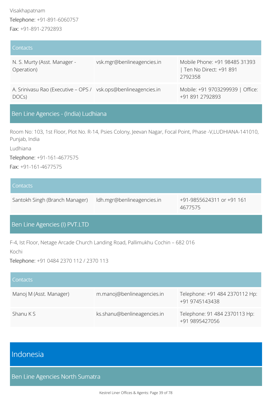| Contacts                                                                |                            |                                                                    |
|-------------------------------------------------------------------------|----------------------------|--------------------------------------------------------------------|
| N. S. Murty (Asst. Manager -<br>Operation)                              | vsk.mgr@benlineagencies.in | Mobile Phone: +91 98485 31393<br>Ten No Direct: +91 891<br>2792358 |
| A. Srinivasu Rao (Executive – OPS / vsk.ops@benlineagencies.in<br>DOCs) |                            | Mobile: +91 9703299939   Office:<br>+91 891 2792893                |

### Ben Line Agencies - (India) Ludhiana

Room No: 103, 1st Floor, Plot No. R-14, Psies Colony, Jeevan Nagar, Focal Point, Phase -V,LUDHIANA-141010, Punjab, India

Ludhiana

Telephone: +91-161-4677575

Fax: +91-161-4677575

| Contacts                       |                            |                                      |
|--------------------------------|----------------------------|--------------------------------------|
| Santokh Singh (Branch Manager) | Idh.mgr@benlineagencies.in | +91-9855624311 or +91 161<br>4677575 |

### Ben Line Agencies (I) PVT.LTD

F-4, Ist Floor, Netage Arcade Church Landing Road, Pallimukhu Cochin – 682 016

Kochi

Telephone: +91 0484 2370 112 / 2370 113

| Contacts                |                             |                                                  |
|-------------------------|-----------------------------|--------------------------------------------------|
| Manoj M (Asst. Manager) | m.manoj@benlineagencies.in  | Telephone: +91 484 2370112 Hp:<br>+91 9745143438 |
| Shanu K S               | ks.shanu@benlineagencies.in | Telephone: 91 484 2370113 Hp:<br>+91 9895427056  |

## Indonesia

Ben Line Agencies North Sumatra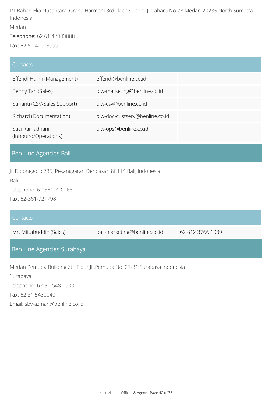PT Bahari Eka Nusantara, Graha Harmoni 3rd Floor Suite 1, Jl.Gaharu No.2B Medan-20235 North Sumatra-Indonesia Medan

Telephone: 62 61 42003888

Fax: 62 61 42003999

#### **Contacts**

| Effendi Halim (Management)             | effendi@benline.co.id          |  |
|----------------------------------------|--------------------------------|--|
| Benny Tan (Sales)                      | blw-marketing@benline.co.id    |  |
| Surianti (CSV/Sales Support)           | blw-csv@benline.co.id          |  |
| Richard (Documentation)                | blw-doc-custserv@benline.co.id |  |
| Suci Ramadhani<br>(Inbound/Operations) | blw-ops@benline.co.id          |  |

## Ben Line Agencies Bali

Jl. Diponegoro 735, Pesanggaran Denpasar, 80114 Bali, Indonesia

Bali

Telephone: 62-361-720268

Fax: 62-361-721798

| Contacts                                                               |                              |                  |
|------------------------------------------------------------------------|------------------------------|------------------|
| Mr. Miftahuddin (Sales)                                                | bali-marketing@benline.co.id | 62 812 3766 1989 |
| Ben Line Agencies Surabaya                                             |                              |                  |
| Medan Pemuda Building 6th Floor JL.Pemuda No. 27-31 Surabaya Indonesia |                              |                  |
| Surabaya                                                               |                              |                  |
| Telephone: 62-31-548-1500                                              |                              |                  |

Fax: 62 31 5480040

Email: sby-azman@benline.co.id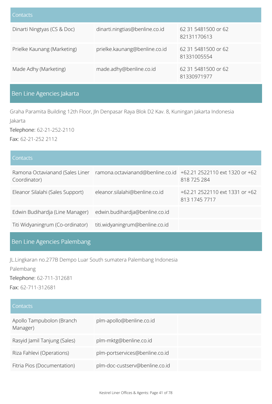| Contacts                    |                                |                                    |
|-----------------------------|--------------------------------|------------------------------------|
| Dinarti Ningtyas (CS & Doc) | dinarti.ningtias@benline.co.id | 62 31 5481500 or 62<br>82131170613 |
| Prielke Kaunang (Marketing) | prielke.kaunang@benline.co.id  | 62 31 5481500 or 62<br>81331005554 |
| Made Adhy (Marketing)       | made.adhy@benline.co.id        | 62 31 5481500 or 62<br>81330971977 |

## Ben Line Agencies Jakarta

Graha Paramita Building 12th Floor, Jln Denpasar Raya Blok D2 Kav. 8, Kuningan Jakarta Indonesia

Jakarta

Telephone: 62-21-252-2110 Fax: 62-21-252 2112

#### **Contacts**

| Ramona Octavianand (Sales Liner<br>Coordinator) | ramona.octavianand@benline.co.id +62.21 2522110 ext 1320 or +62 | 818 725 284                                     |
|-------------------------------------------------|-----------------------------------------------------------------|-------------------------------------------------|
| Eleanor Silalahi (Sales Support)                | eleanor.silalahi@benline.co.id                                  | +62.21 2522110 ext 1331 or +62<br>813 1745 7717 |
| Edwin Budihardja (Line Manager)                 | edwin.budihardja@benline.co.id                                  |                                                 |
| Titi Widyaningrum (Co-ordinator)                | titi.widyaningrum@benline.co.id                                 |                                                 |

## Ben Line Agencies Palembang

JL.Lingkaran no.277B Dempo Luar South sumatera Palembang Indonesia Palembang Telephone: 62-711-312681 Fax: 62-711-312681

| <b>Contacts</b>                       |                                |
|---------------------------------------|--------------------------------|
| Apollo Tampubolon (Branch<br>Manager) | plm-apollo@benline.co.id       |
| Rasyid Jamil Tanjung (Sales)          | plm-mktg@benline.co.id         |
| Riza Fahlevi (Operations)             | plm-portservices@benline.co.id |
| Fitria Pios (Documentation)           | plm-doc-custserv@benline.co.id |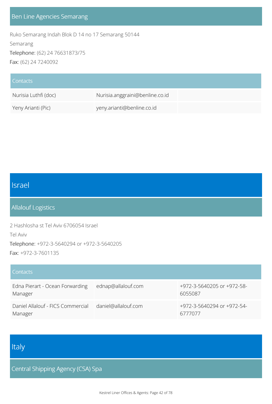### Ben Line Agencies Semarang

Ruko Semarang Indah Blok D 14 no 17 Semarang 50144 Semarang Telephone: (62) 24 76631873/75 Fax: (62) 24 7240092

| Contacts             |                                 |  |
|----------------------|---------------------------------|--|
| Nurisia Luthfi (doc) | Nurisia.anggraini@benline.co.id |  |
| Yeny Arianti (Pic)   | yeny.arianti@benline.co.id      |  |

# Israel

### Allalouf Logistics

2 Hashlosha st Tel Aviv 6706054 Israel Tel Aviv Telephone: +972-3-5640294 or +972-3-5640205 Fax: +972-3-7601135

| Contacts                                     |                     |                                       |
|----------------------------------------------|---------------------|---------------------------------------|
| Edna Pierart - Ocean Forwarding<br>Manager   | ednap@allalouf.com  | +972-3-5640205 or +972-58-<br>6055087 |
| Daniel Allalouf - FICS Commercial<br>Manager | daniel@allalouf.com | +972-3-5640294 or +972-54-<br>6777077 |

# Italy

Central Shipping Agency (CSA) Spa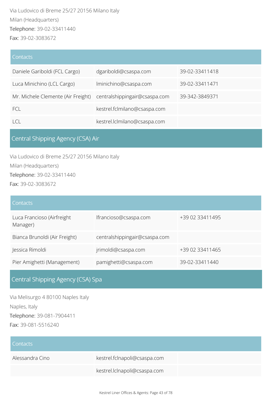Via Ludovico di Breme 25/27 20156 Milano Italy Milan (Headquarters) Telephone: 39-02-33411440 Fax: 39-02-3083672

#### **Contacts**

| Daniele Gariboldi (FCL Cargo)                                    | dgariboldi@csaspa.com        | 39-02-33411418 |
|------------------------------------------------------------------|------------------------------|----------------|
| Luca Minichino (LCL Cargo)                                       | Iminichino@csaspa.com        | 39-02-33411471 |
| Mr. Michele Clemente (Air Freight) centralshippingair@csaspa.com |                              | 39-342-3849371 |
| FCL                                                              | kestrel.fclmilano@csaspa.com |                |
| $\vert$ C                                                        | kestrel.lclmilano@csaspa.com |                |

### Central Shipping Agency (CSA) Air

Via Ludovico di Breme 25/27 20156 Milano Italy Milan (Headquarters) Telephone: 39-02-33411440 Fax: 39-02-3083672

| <b>Contacts</b>                        |                               |                 |
|----------------------------------------|-------------------------------|-----------------|
| Luca Francioso (Airfreight<br>Manager) | lfrancioso@csaspa.com         | +39 02 33411495 |
| Bianca Brunoldi (Air Freight)          | centralshippingair@csaspa.com |                 |
| Jessica Rimoldi                        | jrimoldi@csaspa.com           | +39 02 33411465 |
| Pier Amighetti (Management)            | pamighetti@csaspa.com         | 39-02-33411440  |

# Central Shipping Agency (CSA) Spa

Via Melisurgo 4 80100 Naples Italy Naples, Italy Telephone: 39-081-7904411 Fax: 39-081-5516240

| Contacts        |                              |
|-----------------|------------------------------|
| Alessandra Cino | kestrel.fclnapoli@csaspa.com |
|                 | kestrel.lclnapoli@csaspa.com |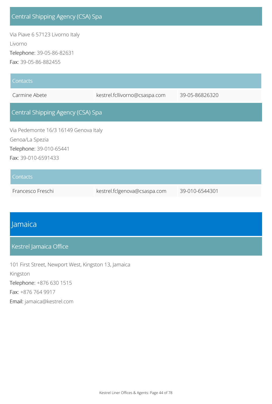## Central Shipping Agency (CSA) Spa

Via Piave 6 57123 Livorno Italy Livorno Telephone: 39-05-86-82631 Fax: 39-05-86-882455

| Contacts                              |                               |                |
|---------------------------------------|-------------------------------|----------------|
| Carmine Abete                         | kestrel.fcllivorno@csaspa.com | 39-05-86826320 |
| Central Shipping Agency (CSA) Spa     |                               |                |
| Via Pedemonte 16/3 16149 Genova Italy |                               |                |
| Genoa/La Spezia                       |                               |                |
| Telephone: 39-010-65441               |                               |                |
| Fax: 39-010-6591433                   |                               |                |
| <b>Contacts</b>                       |                               |                |
|                                       |                               |                |

Francesco Freschi kestrel.fclgenova@csaspa.com 39-010-6544301

## Jamaica

### Kestrel Jamaica Office

101 First Street, Newport West, Kingston 13, Jamaica Kingston Telephone: +876 630 1515 Fax: +876 764 9917 Email: jamaica@kestrel.com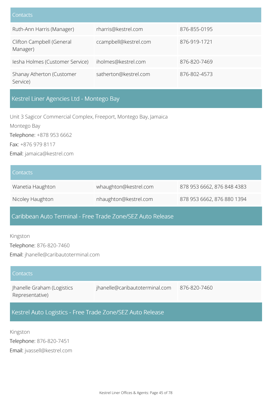| Contacts                              |                       |              |
|---------------------------------------|-----------------------|--------------|
| Ruth-Ann Harris (Manager)             | rharris@kestrel.com   | 876-855-0195 |
| Clifton Campbell (General<br>Manager) | ccampbell@kestrel.com | 876-919-1721 |
| Iesha Holmes (Customer Service)       | iholmes@kestrel.com   | 876-820-7469 |
| Shanay Atherton (Customer<br>Service) | satherton@kestrel.com | 876-802-4573 |

### Kestrel Liner Agencies Ltd - Montego Bay

Unit 3 Sagicor Commercial Complex, Freeport, Montego Bay, Jamaica Montego Bay Telephone: +878 953 6662 Fax: +876 979 8117 Email: jamaica@kestrel.com

| Contacts         |                       |                            |
|------------------|-----------------------|----------------------------|
| Wanetia Haughton | whaughton@kestrel.com | 878 953 6662, 876 848 4383 |
| Nicoley Haughton | nhaughton@kestrel.com | 878 953 6662, 876 880 1394 |

### Caribbean Auto Terminal - Free Trade Zone/SEZ Auto Release

Kingston Telephone: 876-820-7460 Email: jhanelle@caribautoterminal.com

| Contacts                                      |                                |              |
|-----------------------------------------------|--------------------------------|--------------|
| Jhanelle Graham (Logistics<br>Representative) | jhanelle@caribautoterminal.com | 876-820-7460 |

Kestrel Auto Logistics - Free Trade Zone/SEZ Auto Release

Kingston Telephone: 876-820-7451 Email: jvassell@kestrel.com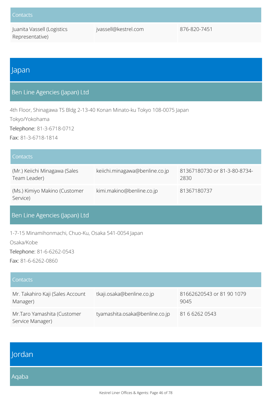Juanita Vassell (Logistics Representative)

jvassell@kestrel.com 876-820-7451

### Japan

### Ben Line Agencies (Japan) Ltd

4th Floor, Shinagawa TS Bldg 2-13-40 Konan Minato-ku Tokyo 108-0075 Japan

Tokyo/Yokohama

Telephone: 81-3-6718-0712

Fax: 81-3-6718-1814

| Contacts                                      |                                |                                      |
|-----------------------------------------------|--------------------------------|--------------------------------------|
| (Mr.) Keiichi Minagawa (Sales<br>Team Leader) | keiichi.minagawa@benline.co.jp | 81367180730 or 81-3-80-8734-<br>2830 |
| (Ms.) Kimiyo Makino (Customer<br>Service)     | kimi.makino@benline.co.jp      | 81367180737                          |

### Ben Line Agencies (Japan) Ltd

1-7-15 Minamihonmachi, Chuo-Ku, Osaka 541-0054 Japan

Osaka/Kobe

Telephone: 81-6-6262-0543

Fax: 81-6-6262-0860

| Contacts                                        |                                |                                   |
|-------------------------------------------------|--------------------------------|-----------------------------------|
| Mr. Takahiro Kaji (Sales Account<br>Manager)    | tkaji.osaka@benline.co.jp      | 81662620543 or 81 90 1079<br>9045 |
| Mr.Taro Yamashita (Customer<br>Service Manager) | tyamashita.osaka@benline.co.jp | 81 6 6262 0543                    |

| Jordan |  |  |
|--------|--|--|
| Aqaba  |  |  |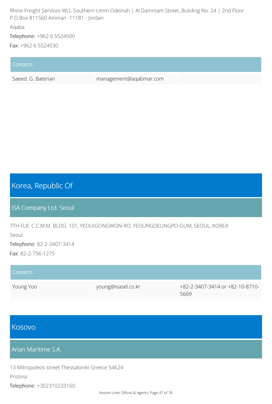Rhine Freight Services WLL Southern Umm Odeinah | Al Dammam Street, Buliding No. 24 | 2nd Floor P.O.Box 811560 Amman -11181 - Jordan

#### Aqaba

Telephone: +962 6 5524500

Fax: +962 6 5524530

#### **Contacts**

Saeed. G. Baterian management@aqabmar.com

## Korea, Republic Of

ISA Company Ltd. Seoul

7TH FLR. C.C.M.M. BLDG. 101, YEOUIGONGWON-RO, YEOUNGDEUNGPO-GUM, SEOUL, KOREA Seoul Telephone: 82-2-3407-3414 Fax: 82-2-756-1275

| Contacts  |                    |                                 |
|-----------|--------------------|---------------------------------|
| Young Yoo | young@isasel.co.kr | +82-2-3407-3414 or +82-10-8710- |
|           |                    | 5669                            |

## Kosovo

Arian Maritime S.A.

13 Mitropoleos street Thessaloniki Greece 54624

#### Pristina

Telephone: +302310233160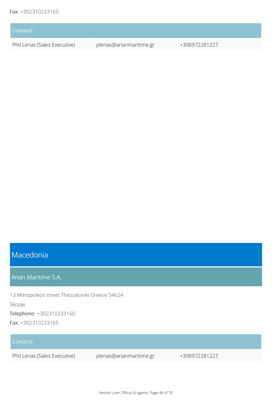| Contacts                      |                          |               |
|-------------------------------|--------------------------|---------------|
| Phil Lerias (Sales Executive) | plerias@arianmaritime.gr | +306972281227 |

# Macedonia

Arian Maritime S.A.

13 Mitropoleos street Thessaloniki Greece 54624 Skopje Telephone: +302310233160 Fax: +302310233165

| Contacts                      |                          |               |
|-------------------------------|--------------------------|---------------|
| Phil Lerias (Sales Executive) | plerias@arianmaritime.gr | +306972281227 |
|                               |                          |               |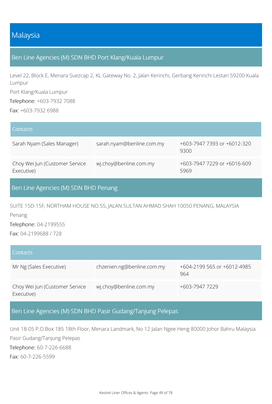## Malaysia

### Ben Line Agencies (M) SDN BHD Port Klang/Kuala Lumpur

Level 22, Block E, Menara Suezcap 2, KL Gateway No. 2, Jalan Kerinchi, Gerbang Kerinchi Lestari 59200 Kuala Lumpur

Port Klang/Kuala Lumpur

Telephone: +603-7932 7088

Fax: +603-7932 6988

| Contacts                                     |                           |                                     |
|----------------------------------------------|---------------------------|-------------------------------------|
| Sarah Nyam (Sales Manager)                   | sarah.nyam@benline.com.my | +603-7947 7393 or +6012-320<br>9300 |
| Choy Wei Jun (Customer Service<br>Executive) | wj.choy@benline.com.my    | +603-7947 7229 or +6016-609<br>5969 |

### Ben Line Agencies (M) SDN BHD Penang

SUITE 15D-15F, NORTHAM HOUSE NO.55, JALAN SULTAN AHMAD SHAH 10050 PENANG, MALAYSIA

Penang

Telephone: 04-2199555

Fax: 04-2199688 / 728

| Contacts                                     |                            |                                    |
|----------------------------------------------|----------------------------|------------------------------------|
| Mr Ng (Sales Executive)                      | chzenien.ng@benline.com.my | +604-2199 565 or +6012-4985<br>964 |
| Choy Wei Jun (Customer Service<br>Executive) | wj.choy@benline.com.my     | +603-7947 7229                     |

Ben Line Agencies (M) SDN BHD Pasir Gudang/Tanjung Pelepas

Unit 18-05 P.O.Box 185 18th Floor, Menara Landmark, No 12 Jalan Ngee Heng 80000 Johor Bahru Malaysia Pasir Gudang/Tanjung Pelepas Telephone: 60-7-226-6688 Fax: 60-7-226-5599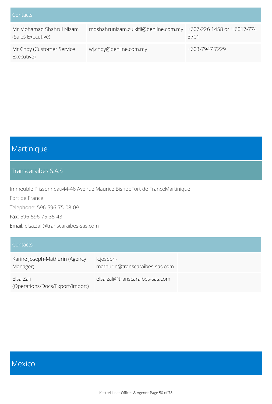| Contacts                                      |                                       |                                     |
|-----------------------------------------------|---------------------------------------|-------------------------------------|
| Mr Mohamad Shahrul Nizam<br>(Sales Executive) | mdshahrunizam.zulkifli@benline.com.my | +607-226 1458 or '+6017-774<br>3701 |
| Mr Choy (Customer Service<br>Executive)       | wj.choy@benline.com.my                | +603-7947 7229                      |

# Martinique

### Transcaraibes S.A.S

Immeuble Plissonneau44-46 Avenue Maurice BishopFort de FranceMartinique Fort de France Telephone: 596-596-75-08-09 Fax: 596-596-75-35-43 Email: elsa.zali@transcaraibes-sas.com

| Contacts                                     |                                             |
|----------------------------------------------|---------------------------------------------|
| Karine Joseph-Mathurin (Agency<br>Manager)   | k.joseph-<br>mathurin@transcaraibes-sas.com |
| Flsa Zali<br>(Operations/Docs/Export/Import) | elsa.zali@transcaraibes-sas.com             |

## Mexico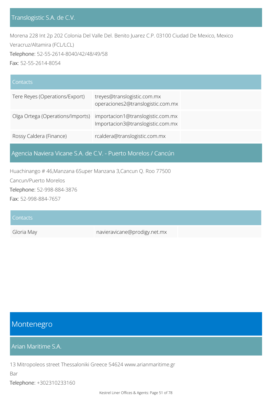### Translogistic S.A. de C.V.

Morena 228 Int 2p 202 Colonia Del Valle Del. Benito Juarez C.P. 03100 Ciudad De Mexico, Mexico Veracruz/Altamira (FCL/LCL) Telephone: 52-55-2614-8040/42/48/49/58 Fax: 52-55-2614-8054

| Contacts                         |                                                                        |
|----------------------------------|------------------------------------------------------------------------|
| Tere Reyes (Operations/Export)   | treyes@translogistic.com.mx<br>operaciones2@translogistic.com.mx       |
| Olga Ortega (Operations/Imports) | importacion1@translogistic.com.mx<br>Importacion3@translogistic.com.mx |
| Rossy Caldera (Finance)          | rcaldera@translogistic.com.mx                                          |

Agencia Naviera Vicane S.A. de C.V. - Puerto Morelos / Cancún

Huachinango # 46,Manzana 6Super Manzana 3,Cancun Q. Roo 77500

Cancun/Puerto Morelos

Telephone: 52-998-884-3876

Fax: 52-998-884-7657

| Contacts   |                              |  |
|------------|------------------------------|--|
| Gloria May | navieravicane@prodigy.net.mx |  |

## Montenegro

### Arian Maritime S.A.

13 Mitropoleos street Thessaloniki Greece 54624 www.arianmaritime.gr

Bar

Telephone: +302310233160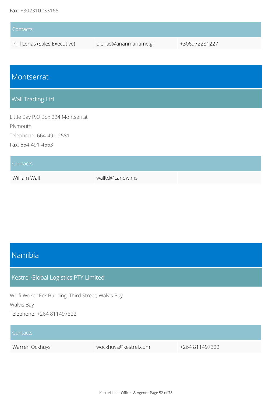| <b>Contacts</b>               |                          |               |
|-------------------------------|--------------------------|---------------|
| Phil Lerias (Sales Executive) | plerias@arianmaritime.gr | +306972281227 |

## Montserrat

### Wall Trading Ltd

Little Bay P.O.Box 224 Montserrat Plymouth Telephone: 664-491-2581 Fax: 664-491-4663

| <b>Contacts</b> |                 |  |
|-----------------|-----------------|--|
| William Wall    | walltd@candw.ms |  |

## Namibia

### Kestrel Global Logistics PTY Limited

Wolfi Woker Eck Building, Third Street, Walvis Bay Walvis Bay

Telephone: +264 811497322

#### **Contacts**

Warren Ockhuys wockhuys@kestrel.com +264 811497322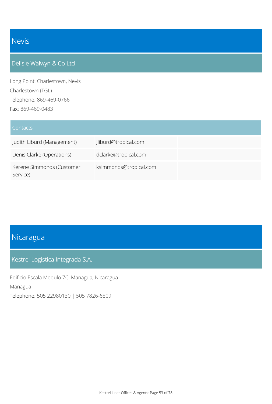# Nevis

## Delisle Walwyn & Co Ltd

Long Point, Charlestown, Nevis Charlestown (TGL) Telephone: 869-469-0766 Fax: 869-469-0483

| <b>Contacts</b>                       |                        |
|---------------------------------------|------------------------|
| Judith Liburd (Management)            | Jliburd@tropical.com   |
| Denis Clarke (Operations)             | dclarke@tropical.com   |
| Kerene Simmonds (Customer<br>Service) | ksimmonds@tropical.com |

# Nicaragua

#### Kestrel Logistica Integrada S.A.

Edificio Escala Modulo 7C. Managua, Nicaragua Managua Telephone: 505 22980130 | 505 7826-6809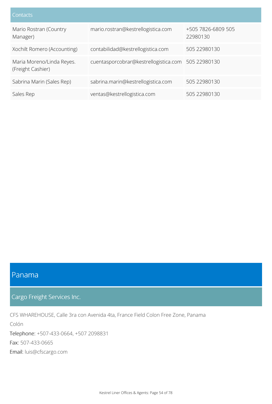| Contacts                                       |                                                    |                                |
|------------------------------------------------|----------------------------------------------------|--------------------------------|
| Mario Rostran (Country<br>Manager)             | mario.rostran@kestrellogistica.com                 | +505 7826-6809 505<br>22980130 |
| Xochilt Romero (Accounting)                    | contabilidad@kestrellogistica.com                  | 505 22980130                   |
| Maria Moreno/Linda Reyes.<br>(Freight Cashier) | cuentasporcobrar@kestrellogistica.com 505 22980130 |                                |
| Sabrina Marin (Sales Rep)                      | sabrina.marin@kestrellogistica.com                 | 505 22980130                   |
| Sales Rep                                      | ventas@kestrellogistica.com                        | 505 22980130                   |

## Panama

Cargo Freight Services Inc.

CFS WHAREHOUSE, Calle 3ra con Avenida 4ta, France Field Colon Free Zone, Panama

Colón Telephone: +507-433-0664, +507 2098831 Fax: 507-433-0665 Email: luis@cfscargo.com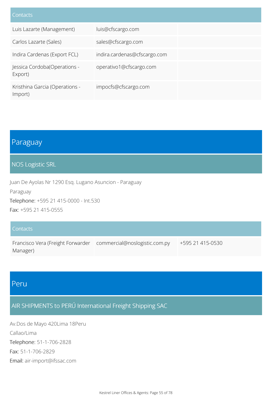| Contacts                                  |                              |
|-------------------------------------------|------------------------------|
| Luis Lazarte (Management)                 | luis@cfscargo.com            |
| Carlos Lazarte (Sales)                    | sales@cfscargo.com           |
| Indira Cardenas (Export FCL)              | indira.cardenas@cfscargo.com |
| Jessica Cordoba(Operations -<br>Export)   | operativo1@cfscargo.com      |
| Kristhina Garcia (Operations -<br>Import) | impocfs@cfscargo.com         |

## Paraguay

#### NOS Logistic SRL

Juan De Ayolas Nr 1290 Esq. Lugano Asuncion - Paraguay Paraguay Telephone: +595 21 415-0000 - Int.530 Fax: +595 21 415-0555

#### **Contacts**

Francisco Vera (Freight Forwarder commercial@noslogistic.com.py +595 21 415-0530 Manager)

## Peru

## AIR SHIPMENTS to PERÚ International Freight Shipping SAC

Av.Dos de Mayo 420Lima 18Peru Callao/Lima Telephone: 51-1-706-2828 Fax: 51-1-706-2829 Email: air-import@ifssac.com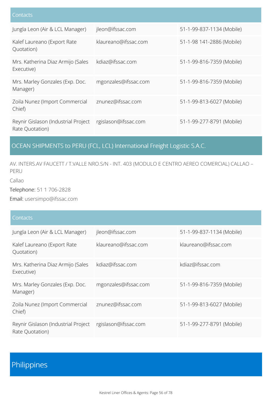| Contacts                                               |                      |                           |
|--------------------------------------------------------|----------------------|---------------------------|
| Jungla Leon (Air & LCL Manager)                        | jleon@ifssac.com     | 51-1-99-837-1134 (Mobile) |
| Kalef Laureano (Export Rate<br>Quotation)              | klaureano@ifssac.com | 51-1-98 141-2886 (Mobile) |
| Mrs. Katherina Diaz Armijo (Sales<br>Executive)        | kdiaz@ifssac.com     | 51-1-99-816-7359 (Mobile) |
| Mrs. Marley Gonzales (Exp. Doc.<br>Manager)            | mgonzales@ifssac.com | 51-1-99-816-7359 (Mobile) |
| Zoila Nunez (Import Commercial<br>Chief)               | znunez@ifssac.com    | 51-1-99-813-6027 (Mobile) |
| Reynir Gislason (Industrial Project<br>Rate Quotation) | rgislason@ifssac.com | 51-1-99-277-8791 (Mobile) |

## OCEAN SHIPMENTS to PERU (FCL, LCL) International Freight Logistic S.A.C.

AV. INTERS.AV FAUCETT / T.VALLE NRO.S/N - INT. 403 (MODULO E CENTRO AEREO COMERCIAL) CALLAO – PERU

Callao

Telephone: 51 1 706-2828

Email: usersimpo@ifssac.com

#### **Contacts**

| Jungla Leon (Air & LCL Manager)                        | jleon@ifssac.com     | 51-1-99-837-1134 (Mobile) |
|--------------------------------------------------------|----------------------|---------------------------|
| Kalef Laureano (Export Rate<br>Quotation)              | klaureano@ifssac.com | klaureano@ifssac.com      |
| Mrs. Katherina Diaz Armijo (Sales<br>Executive)        | kdiaz@ifssac.com     | kdiaz@ifssac.com          |
| Mrs. Marley Gonzales (Exp. Doc.<br>Manager)            | mgonzales@ifssac.com | 51-1-99-816-7359 (Mobile) |
| Zoila Nunez (Import Commercial<br>Chief)               | znunez@ifssac.com    | 51-1-99-813-6027 (Mobile) |
| Reynir Gislason (Industrial Project<br>Rate Quotation) | rgislason@ifssac.com | 51-1-99-277-8791 (Mobile) |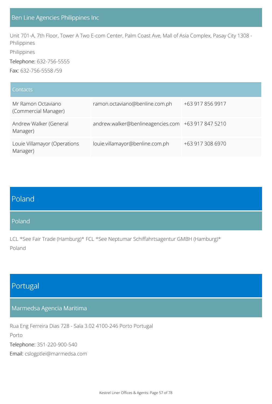Unit 701-A, 7th Floor, Tower A Two E-com Center, Palm Coast Ave, Mall of Asia Complex, Pasay City 1308 - Philippines

Philippines

Telephone: 632-756-5555

Fax: 632-756-5558 /59

| Contacts                                   |                                                    |                  |
|--------------------------------------------|----------------------------------------------------|------------------|
| Mr Ramon Octaviano<br>(Commercial Manager) | ramon.octaviano@benline.com.ph                     | +63 917 856 9917 |
| Andrew Walker (General<br>Manager)         | andrew.walker@benlineagencies.com +63 917 847 5210 |                  |
| Louie Villamayor (Operations<br>Manager)   | louie.villamayor@benline.com.ph                    | +63 917 308 6970 |

# Poland

#### Poland

LCL \*See Fair Trade (Hamburg)\* FCL \*See Neptumar Schiffahrtsagentur GMBH (Hamburg)\* Poland

## Portugal

#### Marmedsa Agencia Maritima

Rua Eng Ferreira Dias 728 - Sala 3.02 4100-246 Porto Portugal Porto Telephone: 351-220-900-540 Email: cslogptlei@marmedsa.com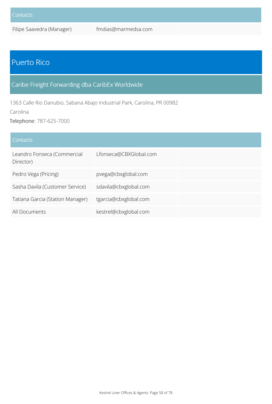Filipe Saavedra (Manager) fmdias@marmedsa.com

# Puerto Rico

## Caribe Freight Forwarding dba CaribEx Worldwide

1363 Calle Rio Danubio, Sabana Abajo Industrial Park, Carolina, PR 00982

Carolina

Telephone: 787-625-7000

| Contacts                                 |                        |
|------------------------------------------|------------------------|
| Leandro Fonseca (Commercial<br>Director) | Lfonseca@CBXGlobal.com |
| Pedro Vega (Pricing)                     | pvega@cbxglobal.com    |
| Sasha Davila (Customer Service)          | sdavila@cbxglobal.com  |
| Tatiana Garcia (Station Manager)         | tgarcia@cbxglobal.com  |
| All Documents                            | kestrel@cbxglobal.com  |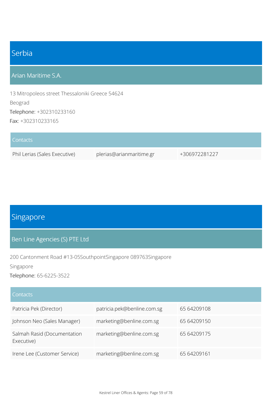# Serbia

### Arian Maritime S.A.

13 Mitropoleos street Thessaloniki Greece 54624 Beograd Telephone: +302310233160 Fax: +302310233165

| Contacts                      |                          |               |
|-------------------------------|--------------------------|---------------|
| Phil Lerias (Sales Executive) | plerias@arianmaritime.gr | +306972281227 |

# Singapore

#### Ben Line Agencies (S) PTE Ltd

200 Cantonment Road #13-05SouthpointSingapore 089763Singapore

Singapore

Telephone: 65-6225-3522

#### **Contacts**

| Patricia Pek (Director)                   | patricia.pek@benline.com.sg | 65 64209108 |
|-------------------------------------------|-----------------------------|-------------|
| Johnson Neo (Sales Manager)               | marketing@benline.com.sg    | 65 64209150 |
| Salmah Rasid (Documentation<br>Executive) | marketing@benline.com.sg    | 65 64209175 |
| Irene Lee (Customer Service)              | marketing@benline.com.sg    | 65 64209161 |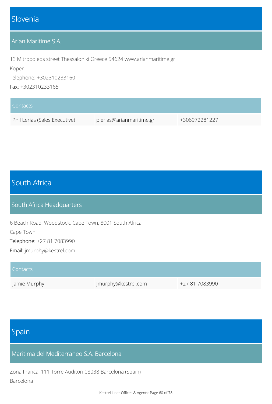## Slovenia

### Arian Maritime S.A.

13 Mitropoleos street Thessaloniki Greece 54624 www.arianmaritime.gr

Koper

Telephone: +302310233160

Fax: +302310233165

| Contacts                      |                          |               |
|-------------------------------|--------------------------|---------------|
| Phil Lerias (Sales Executive) | plerias@arianmaritime.gr | +306972281227 |

# South Africa

#### South Africa Headquarters

6 Beach Road, Woodstock, Cape Town, 8001 South Africa Cape Town Telephone: +27 81 7083990 Email: jmurphy@kestrel.com

| <b>Contacts</b> |                     |                |
|-----------------|---------------------|----------------|
| Jamie Murphy    | Jmurphy@kestrel.com | +27 81 7083990 |

# Spain

Maritima del Mediterraneo S.A. Barcelona

Zona Franca, 111 Torre Auditori 08038 Barcelona (Spain) Barcelona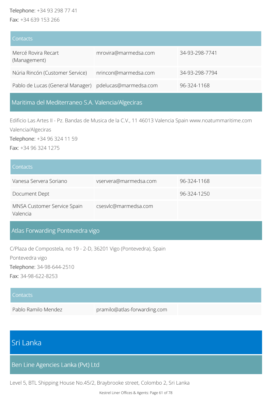#### Telephone: +34 93 298 77 41 Fax: +34 639 153 266

| <b>Contacts</b>                                        |                      |                |
|--------------------------------------------------------|----------------------|----------------|
| Mercé Rovira Recart<br>(Management)                    | mrovira@marmedsa.com | 34-93-298-7741 |
| Núria Rincón (Customer Service)                        | nrincon@marmedsa.com | 34-93-298-7794 |
| Pablo de Lucas (General Manager) pdelucas@marmedsa.com |                      | 96-324-1168    |

Maritima del Mediterraneo S.A. Valencia/Algeciras

Edificio Las Artes II - Pz. Bandas de Musica de la C.V., 11 46013 Valencia Spain www.noatummaritime.com Valencia/Algeciras

Telephone: +34 96 324 11 59

Fax: +34 96 324 1275

| <b>Contacts</b>                         |                       |             |
|-----------------------------------------|-----------------------|-------------|
| Vanesa Servera Soriano                  | vservera@marmedsa.com | 96-324-1168 |
| Document Dept                           |                       | 96-324-1250 |
| MNSA Customer Service Spain<br>Valencia | csesvlc@marmedsa.com  |             |

## Atlas Forwarding Pontevedra vigo

C/Plaza de Compostela, no 19 - 2-D, 36201 Vigo (Pontevedra), Spain Pontevedra vigo Telephone: 34-98-644-2510 Fax: 34-98-622-8253

#### **Contacts**

Pablo Ramilo Mendez pramilo@atlas-forwarding.com

## Sri Lanka

Ben Line Agencies Lanka (Pvt) Ltd

Level 5, BTL Shipping House No.45/2, Braybrooke street, Colombo 2, Sri Lanka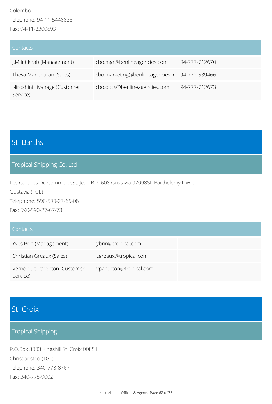| Contacts                                 |                                                |               |
|------------------------------------------|------------------------------------------------|---------------|
| J.M.Intikhab (Management)                | cbo.mgr@benlineagencies.com                    | 94-777-712670 |
| Theva Manoharan (Sales)                  | cbo.marketing@benlineagencies.in 94-772-539466 |               |
| Niroshini Liyanage (Customer<br>Service) | cbo.docs@benlineagencies.com                   | 94-777-712673 |

# St. Barths

### Tropical Shipping Co. Ltd

Les Galeries Du CommerceSt. Jean B.P. 608 Gustavia 97098St. Barthelemy F.W.I. Gustavia (TGL) Telephone: 590-590-27-66-08

Fax: 590-590-27-67-73

#### **Contacts**

| Yves Brin (Management)                   | ybrin@tropical.com     |
|------------------------------------------|------------------------|
| Christian Greaux (Sales)                 | cgreaux@tropical.com   |
| Vernoique Parenton (Customer<br>Service) | vparenton@tropical.com |

## St. Croix

## Tropical Shipping

P.O.Box 3003 Kingshill St. Croix 00851 Christiansted (TGL) Telephone: 340-778-8767 Fax: 340-778-9002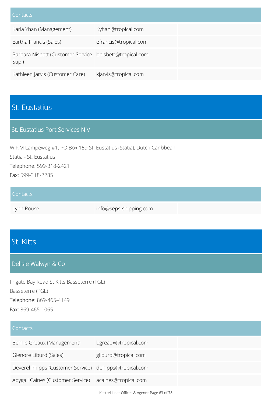| Contacts                                                         |                       |
|------------------------------------------------------------------|-----------------------|
| Karla Yhan (Management)                                          | Kyhan@tropical.com    |
| Eartha Francis (Sales)                                           | efrancis@tropical.com |
| Barbara Nisbett (Customer Service bnisbett@tropical.com<br>Sup.) |                       |
| Kathleen Jarvis (Customer Care)                                  | kjarvis@tropical.com  |

# St. Eustatius

### St. Eustatius Port Services N.V

W.F.M Lampeweg #1, PO Box 159 St. Eustatius (Statia), Dutch Caribbean Statia - St. Eustatius Telephone: 599-318-2421 Fax: 599-318-2285

| Contacts   |                        |  |
|------------|------------------------|--|
| Lynn Rouse | info@seps-shipping.com |  |

# St. Kitts

#### Delisle Walwyn & Co

Frigate Bay Road St.Kitts Basseterre (TGL) Basseterre (TGL) Telephone: 869-465-4149 Fax: 869-465-1065

### **Contacts**

| Bernie Greaux (Management)                             | bgreaux@tropical.com |
|--------------------------------------------------------|----------------------|
| Glenore Liburd (Sales)                                 | gliburd@tropical.com |
| Deverel Phipps (Customer Service) dphipps@tropical.com |                      |
| Abygail Caines (Customer Service) acaines@tropical.com |                      |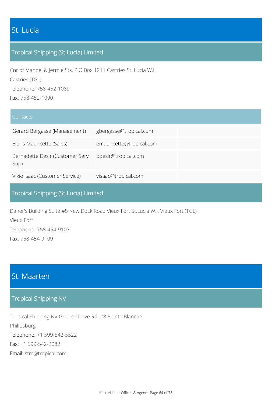## St. Lucia

### Tropical Shipping (St Lucia) Limited

Cnr of Manoel & Jermie Sts. P.O.Box 1211 Castries St. Lucia W.I. Castries (TGL) Telephone: 758-452-1089 Fax: 758-452-1090

#### **Contacts**

| Gerard Bergasse (Management)             | gbergasse@tropical.com   |  |
|------------------------------------------|--------------------------|--|
| Eldris Mauricette (Sales)                | emauricette@tropical.com |  |
| Bernadette Desir (Customer Serv.<br>Sup) | bdesir@tropical.com      |  |
| Vikie Isaac (Customer Service)           | visaac@tropical.com      |  |

### Tropical Shipping (St Lucia) Limited

Daher's Building Suite #5 New Dock Road Vieux Fort St.Lucia W.I. Vieux Fort (TGL)

Vieux Fort Telephone: 758-454-9107 Fax: 758-454-9109

## St. Maarten

#### Tropical Shipping NV

Tropical Shipping NV Ground Dove Rd. #8 Pointe Blanche Philipsburg Telephone: +1 599-542-5522 Fax: +1 599-542-2082 Email: stm@tropical.com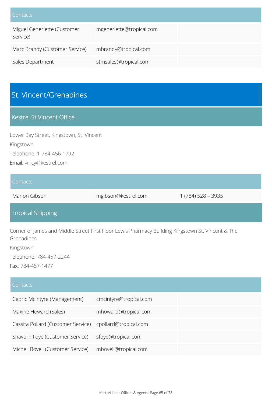| Contacts                                |                          |  |
|-----------------------------------------|--------------------------|--|
| Miguel Generlette (Customer<br>Service) | mgenerlette@tropical.com |  |
| Marc Brandy (Customer Service)          | mbrandy@tropical.com     |  |
| Sales Department                        | stmsales@tropical.com    |  |

# St. Vincent/Grenadines

### Kestrel St Vincent Office

Lower Bay Street, Kingstown, St. Vincent Kingstown Telephone: 1-784-456-1792 Email: vincy@kestrel.com

#### **Contacts**

Marlon Gibson mgibson@kestrel.com 1 (784) 528 - 3935

### Tropical Shipping

Corner of James and Middle Street First Floor Lewis Pharmacy Building Kingstown St. Vincent & The Grenadines

Kingstown

Telephone: 784-457-2244

Fax: 784-457-1477

| Contacts                           |                        |
|------------------------------------|------------------------|
| Cedric McIntyre (Management)       | cmcintyre@tropical.com |
| Maxine Howard (Sales)              | mhoward@tropical.com   |
| Cassita Pollard (Customer Service) | cpollard@tropical.com  |
| Shavorn Foye (Customer Service)    | sfoye@tropical.com     |
| Michell Bovell (Customer Service)  | mbovell@tropical.com   |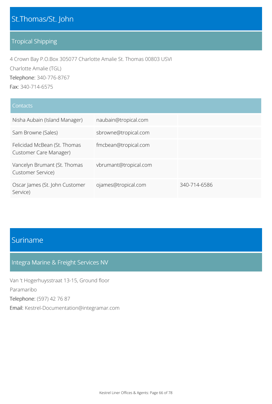## St.Thomas/St. John

### Tropical Shipping

4 Crown Bay P.O.Box 305077 Charlotte Amalie St. Thomas 00803 USVI Charlotte Amalie (TGL) Telephone: 340-776-8767 Fax: 340-714-6575

| Contacts                                               |                       |              |
|--------------------------------------------------------|-----------------------|--------------|
| Nisha Aubain (Island Manager)                          | naubain@tropical.com  |              |
| Sam Browne (Sales)                                     | sbrowne@tropical.com  |              |
| Felicidad McBean (St. Thomas<br>Customer Care Manager) | fmcbean@tropical.com  |              |
| Vancelyn Brumant (St. Thomas<br>Customer Service)      | vbrumant@tropical.com |              |
| Oscar James (St. John Customer<br>Service)             | ojames@tropical.com   | 340-714-6586 |

# Suriname

### Integra Marine & Freight Services NV

Van 't Hogerhuysstraat 13-15, Ground floor Paramaribo Telephone: (597) 42 76 87 Email: Kestrel-Documentation@integramar.com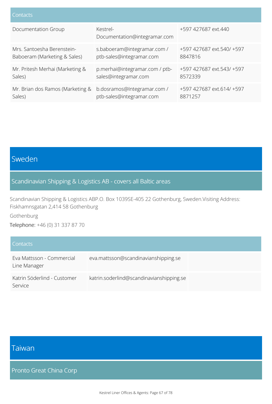| Contacts                         |                                          |                           |
|----------------------------------|------------------------------------------|---------------------------|
| Documentation Group              | Kestrel-<br>Documentation@integramar.com | +597 427687 ext.440       |
| Mrs. Santoesha Berenstein-       | s.baboeram@integramar.com /              | +597 427687 ext.540/ +597 |
| Baboeram (Marketing & Sales)     | ptb-sales@integramar.com                 | 8847816                   |
| Mr. Pritesh Merhai (Marketing &  | p.merhai@integramar.com / ptb-           | +597 427687 ext.543/ +597 |
| Sales)                           | sales@integramar.com                     | 8572339                   |
| Mr. Brian dos Ramos (Marketing & | b.dosramos@Integramar.com /              | +597 427687 ext.614/ +597 |
| Sales)                           | ptb-sales@integramar.com                 | 8871257                   |

# Sweden

### Scandinavian Shipping & Logistics AB - covers all Baltic areas

Scandinavian Shipping & Logistics ABP.O. Box 1039SE-405 22 Gothenburg, Sweden.Visiting Address: Fiskhamnsgatan 2,414 58 Gothenburg

Gothenburg

Telephone: +46 (0) 31 337 87 70

| Contacts                                  |                                          |  |
|-------------------------------------------|------------------------------------------|--|
| Eva Mattsson - Commercial<br>Line Manager | eva.mattsson@scandinavianshipping.se     |  |
| Katrin Söderlind - Customer<br>Service    | katrin.soderlind@scandinavianshipping.se |  |

# Taiwan

Pronto Great China Corp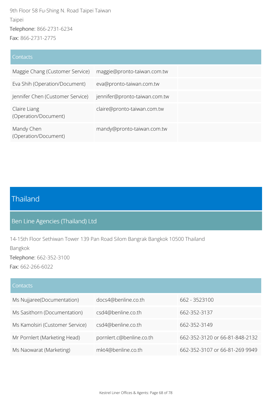9th Floor 58 Fu-Shing N. Road Taipei Taiwan Taipei Telephone: 866-2731-6234 Fax: 866-2731-2775

#### **Contacts**

| Maggie Chang (Customer Service)      | maggie@pronto-taiwan.com.tw   |
|--------------------------------------|-------------------------------|
| Eva Shih (Operation/Document)        | eva@pronto-taiwan.com.tw      |
| Jennifer Chen (Customer Service)     | jennifer@pronto-taiwan.com.tw |
| Claire Liang<br>(Operation/Document) | claire@pronto-taiwan.com.tw   |
| Mandy Chen<br>(Operation/Document)   | mandy@pronto-taiwan.com.tw    |

# Thailand

## Ben Line Agencies (Thailand) Ltd

14-15th Floor Sethiwan Tower 139 Pan Road Silom Bangrak Bangkok 10500 Thailand Bangkok Telephone: 662-352-3100

Fax: 662-266-6022

#### **Contacts**

| Ms Nujjaree(Documentation)      | docs4@benline.co.th      | 662 - 3523100                  |
|---------------------------------|--------------------------|--------------------------------|
| Ms Sasithorn (Documentation)    | csd4@benline.co.th       | 662-352-3137                   |
| Ms Kamolsiri (Customer Service) | csd4@benline.co.th       | 662-352-3149                   |
| Mr Pornlert (Marketing Head)    | pornlert.c@benline.co.th | 662-352-3120 or 66-81-848-2132 |
| Ms Naowarat (Marketing)         | mkt4@benline.co.th       | 662-352-3107 or 66-81-269 9949 |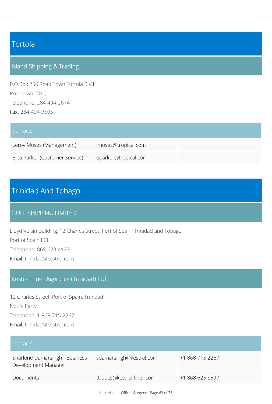## Tortola

## Island Shipping & Trading

P.O.Box 250 Road Town Tortola B.V.I Roadtown (TGL) Telephone: 284-494-2674 Fax: 284-494-3505

| Contacts <sup>1</sup>           |                      |  |
|---------------------------------|----------------------|--|
| Leroy Moses (Management)        | Imoses@tropical.com  |  |
| Elita Parker (Customer Service) | eparker@tropical.com |  |

# Trinidad And Tobago

#### GULF SHIPPING LIMITED

Lloyd Voisin Building, 12 Charles Street, Port of Spain, Trinidad and Tobago Port of Spain FCL Telephone: 868-623-4123 Email: trinidad@kestrel.com

### Kestrel Liner Agencies (Trinidad) Ltd

12 Charles Street, Port of Spain, Trinidad Notify Party Telephone: 1-868-715-2267 Email: trinidad@kestrel.com

| l Contacts                                            |                           |                 |
|-------------------------------------------------------|---------------------------|-----------------|
| Sharlene Damarsingh - Business<br>Development Manager | sdamarsingh@kestrel.com   | +1 868 715 2267 |
| Documents                                             | tt-docs@kestrel-liner.com | +1 868 625 8597 |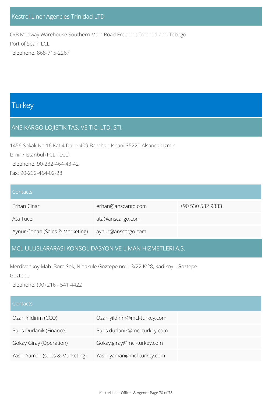### Kestrel Liner Agencies Trinidad LTD

O/B Medway Warehouse Southern Main Road Freeport Trinidad and Tobago Port of Spain LCL Telephone: 868-715-2267

## **Turkey**

### ANS KARGO LOJISTIK TAS. VE TIC. LTD. STI.

1456 Sokak No:16 Kat:4 Daire:409 Barohan Ishani 35220 Alsancak Izmir Izmir / Istanbul (FCL - LCL) Telephone: 90-232-464-43-42 Fax: 90-232-464-02-28

| <b>Contacts</b>                 |                    |                  |
|---------------------------------|--------------------|------------------|
| Erhan Cinar                     | erhan@anscargo.com | +90 530 582 9333 |
| Ata Tucer                       | ata@anscargo.com   |                  |
| Aynur Coban (Sales & Marketing) | aynur@anscargo.com |                  |

### MCL ULUSLARARASI KONSOLIDASYON VE LIMAN HIZMETLERI A.S.

Merdivenkoy Mah. Bora Sok, Nidakule Goztepe no:1-3/22 K:28, Kadikoy - Goztepe

Göztepe

Telephone: (90) 216 - 541 4422

| Contacts                        |                               |
|---------------------------------|-------------------------------|
| Ozan Yildirim (CCO)             | Ozan.yildirim@mcl-turkey.com  |
| Baris Durlanik (Finance)        | Baris.durlanik@mcl-turkey.com |
| Gokay Giray (Operation)         | Gokay.giray@mcl-turkey.com    |
| Yasin Yaman (sales & Marketing) | Yasin.yaman@mcl-turkey.com    |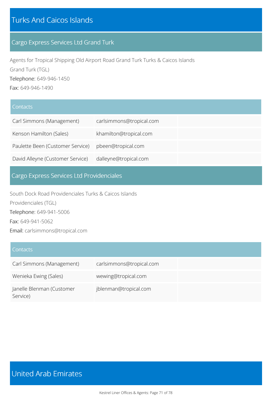# Turks And Caicos Islands

### Cargo Express Services Ltd Grand Turk

Agents for Tropical Shipping Old Airport Road Grand Turk Turks & Caicos Islands Grand Turk (TGL) Telephone: 649-946-1450 Fax: 649-946-1490

#### **Contacts**

| Carl Simmons (Management)        | carlsimmons@tropical.com |  |
|----------------------------------|--------------------------|--|
| Kenson Hamilton (Sales)          | khamilton@tropical.com   |  |
| Paulette Been (Customer Service) | pbeen@tropical.com       |  |
| David Alleyne (Customer Service) | dalleyne@tropical.com    |  |

## Cargo Express Services Ltd Providenciales

South Dock Road Providenciales Turks & Caicos Islands Providenciales (TGL) Telephone: 649-941-5006 Fax: 649-941-5062 Email: carlsimmons@tropical.com

#### **Contacts**

| Carl Simmons (Management)             | carlsimmons@tropical.com |  |
|---------------------------------------|--------------------------|--|
| Wenieka Ewing (Sales)                 | wewing@tropical.com      |  |
| Janelle Blenman (Customer<br>Service) | jblenman@tropical.com    |  |

# United Arab Emirates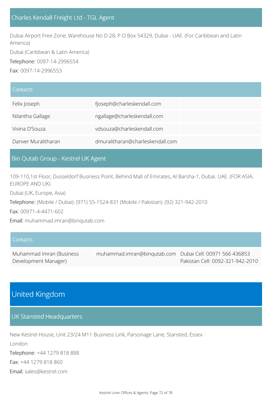### Charles Kendall Freight Ltd - TGL Agent

Dubai Airport Free Zone, Warehouse No D-28, P O Box 54329, Dubai - UAE. (For Caribbean and Latin America) Dubai (Caribbean & Latin America) Telephone: 0097-14-2996554

Fax: 0097-14-2996553

| Contacts            |                                  |
|---------------------|----------------------------------|
| Felix Joseph        | fjoseph@charleskendall.com       |
| Nilantha Gallage    | ngallage@charleskendall.com      |
| Vivina D'Souza      | vdsouza@charleskendall.com       |
| Danver Muralitharan | dmuralitharan@charleskendall.com |

#### Bin Qutab Group - Kestrel UK Agent

109-110,1st Floor, Dusseldorf Business Point, Behind Mall of Emirates, Al Barsha-1, Dubai. UAE. (FOR ASIA, EUROPE AND UK)

Dubai (UK, Europe, Asia)

Telephone: (Mobile / Dubai): (971) 55-1524-831 (Mobile / Pakistan): (92) 321-942-2010

Fax: 00971-4-4471-602

Email: muhammad.imran@binqutab.com

| Contacts                 |                                                          |                                  |
|--------------------------|----------------------------------------------------------|----------------------------------|
| Muhammad Imran (Business | muhammad.imran@bingutab.com Dubai Cell: 00971 566 436853 |                                  |
| Development Manager)     |                                                          | Pakistan Cell: 0092-321-942-2010 |

## United Kingdom

#### UK Stansted Headquarters

New Kestrel House, Unit 23/24 M11 Business Link, Parsonage Lane, Stansted, Essex

London Telephone: +44 1279 818 888 Fax: +44 1279 818 860

Email: sales@kestrel.com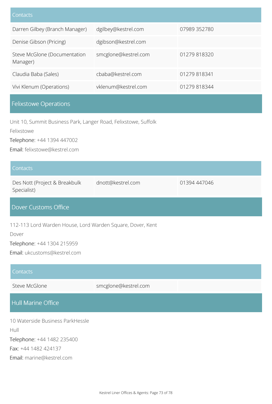| Contacts                                 |                      |              |
|------------------------------------------|----------------------|--------------|
| Darren Gilbey (Branch Manager)           | dgilbey@kestrel.com  | 07989 352780 |
| Denise Gibson (Pricing)                  | dgibson@kestrel.com  |              |
| Steve McGlone (Documentation<br>Manager) | smcglone@kestrel.com | 01279 818320 |
| Claudia Baba (Sales)                     | cbaba@kestrel.com    | 01279818341  |
| Vivi Klenum (Operations)                 | vklenum@kestrel.com  | 01279 818344 |
|                                          |                      |              |

### Felixstowe Operations

Unit 10, Summit Business Park, Langer Road, Felixstowe, Suffolk

Felixstowe

Telephone: +44 1394 447002

Email: felixstowe@kestrel.com

#### **Contacts**

Des Nott (Project & Breakbulk Specialist)

### Dover Customs Office

112-113 Lord Warden House, Lord Warden Square, Dover, Kent

Dover

Telephone: +44 1304 215959

Email: ukcustoms@kestrel.com

| Contacts                                 |                      |
|------------------------------------------|----------------------|
| Steve McGlone                            | smcglone@kestrel.com |
| Hull Marine Office                       |                      |
| 10 Waterside Business ParkHessle<br>Hull |                      |

dnott@kestrel.com 01394 447046

Telephone: +44 1482 235400

Fax: +44 1482 424137

Email: marine@kestrel.com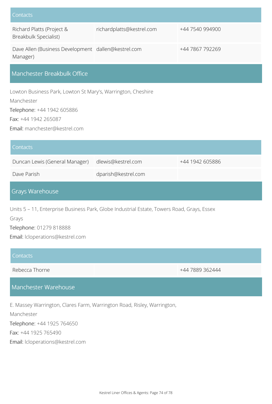| Contacts                                                        |                           |                 |
|-----------------------------------------------------------------|---------------------------|-----------------|
| Richard Platts (Project &<br>Breakbulk Specialist)              | richardplatts@kestrel.com | +44 7540 994900 |
| Dave Allen (Business Development dallen@kestrel.com<br>Manager) |                           | +44 7867 792269 |
| Manchester Breakbulk Office                                     |                           |                 |

Lowton Business Park, Lowton St Mary's, Warrington, Cheshire Manchester

Telephone: +44 1942 605886

Fax: +44 1942 265087

Email: manchester@kestrel.com

| Contacts                       |                     |                 |
|--------------------------------|---------------------|-----------------|
| Duncan Lewis (General Manager) | dlewis@kestrel.com  | +44 1942 605886 |
| Dave Parish                    | dparish@kestrel.com |                 |
|                                |                     |                 |

## Grays Warehouse

Units 5 – 11, Enterprise Business Park, Globe Industrial Estate, Towers Road, Grays, Essex Grays

Telephone: 01279 818888

Email: lcloperations@kestrel.com

### **Contacts**

Rebecca Thorne +44 7889 362444

### Manchester Warehouse

E. Massey Warrington, Clares Farm, Warrington Road, Risley, Warrington,

Manchester

Telephone: +44 1925 764650

Fax: +44 1925 765490

Email: lcloperations@kestrel.com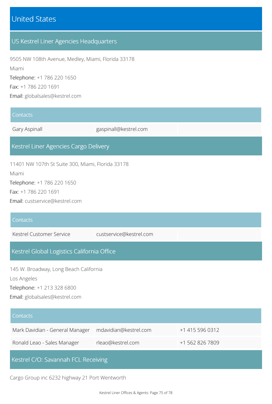# United States

## US Kestrel Liner Agencies Headquarters

9505 NW 108th Avenue, Medley, Miami, Florida 33178 Miami Telephone: +1 786 220 1650 Fax: +1 786 220 1691 Email: globalsales@kestrel.com

#### **Contacts**

Gary Aspinall Gary Aspinall Gary Aspinalle Gary Aspinalle Gary Aspinalle Gary Aspinalle Gary Aspinalle Gary Aspinalle Gary Aspinalle Gary Aspinalle Gary Aspinalle Gary Aspinalle Gary Aspinalle Gary Aspinalle Gary Aspinalle

### Kestrel Liner Agencies Cargo Delivery

11401 NW 107th St Suite 300, Miami, Florida 33178 Miami Telephone: +1 786 220 1650

Fax: +1 786 220 1691

Email: custservice@kestrel.com

# **Contacts** Kestrel Customer Service custservice@kestrel.com Kestrel Global Logistics California Office 145 W. Broadway, Long Beach California Los Angeles Telephone: +1 213 328 6800

Email: globalsales@kestrel.com

| Contacts                            |                       |                 |
|-------------------------------------|-----------------------|-----------------|
| Mark Davidian - General Manager     | mdavidian@kestrel.com | +1 415 596 0312 |
| Ronald Leao - Sales Manager         | rleao@kestrel.com     | +1 562 826 7809 |
| Kestrel C/O: Savannah FCL Receiving |                       |                 |

Cargo Group inc 6232 highway 21 Port Wentworth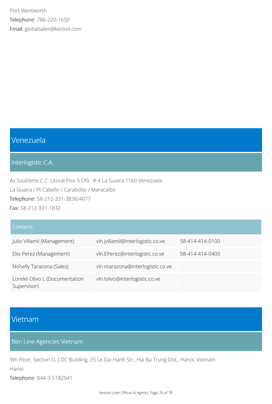Port Wentworth Telephone: 786-220-1650 Email: globalsales@kestrel.com

# Venezuela

### Interlogistic C.A.

Av.Soublette C.C. Litoral Piso 5 Ofic. # 4 La Guaira 1160 Venezuela La Guaira / Pt.Cabello / Carabobo / Maracaibo Telephone: 58-212-331-3836/4077 Fax: 58-212-331-1832

### **Contacts**

| Julio Villamil (Management)                   | vln.jvillamil@interlogistic.co.ve | 58-414-414-0100 |
|-----------------------------------------------|-----------------------------------|-----------------|
| Elio Perez (Management)                       | vln.EPerez@interlogistic.co.ve    | 58-414-414-0400 |
| Nohelly Tarazona (Sales)                      | vln.ntarazona@interlogistic.co.ve |                 |
| Lorelei Olivo L (Documentation<br>Supervisor) | vln.lolivo@interlogistic.co.ve    |                 |

## Vietnam

## Ben Line Agencies Vietnam

9th Floor, Section D, CDC Building, 25 Le Dai Hanh Str., Hai Ba Trung Dist., Hanoi, Vietnam Hanoi

Telephone: 844-3-5182941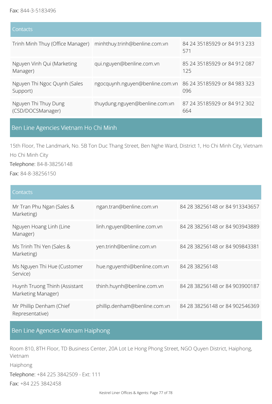| Contacts                                                       |                                                              |                                       |
|----------------------------------------------------------------|--------------------------------------------------------------|---------------------------------------|
| Trinh Minh Thuy (Office Manager) minhthuy.trinh@benline.com.vn |                                                              | 84 24 35185929 or 84 913 233<br>571   |
| Nguyen Vinh Qui (Marketing<br>Manager)                         | qui.nguyen@benline.com.vn                                    | 85 24 35185929 or 84 912 087<br>125   |
| Nguyen Thi Ngoc Quynh (Sales<br>Support)                       | ngocquynh.nguyen@benline.com.vn 86 24 35185929 or 84 983 323 | 096                                   |
| Nguyen Thi Thuy Dung<br>(CSD/DOCSManager)                      | thuydung.nguyen@benline.com.vn                               | 87 24 351 859 29 or 84 912 302<br>664 |

## Ben Line Agencies Vietnam Ho Chi Minh

15th Floor, The Landmark, No. 5B Ton Duc Thang Street, Ben Nghe Ward, District 1, Ho Chi Minh City, Vietnam Ho Chi Minh City

Telephone: 84-8-38256148

Fax: 84-8-38256150

| Contacts                                            |                               |                                |
|-----------------------------------------------------|-------------------------------|--------------------------------|
| Mr Tran Phu Ngan (Sales &<br>Marketing)             | ngan.tran@benline.com.vn      | 84 28 38256148 or 84 913343657 |
| Nguyen Hoang Linh (Line<br>Manager)                 | linh.nguyen@benline.com.vn    | 84 28 38256148 or 84 903943889 |
| Ms Trinh Thi Yen (Sales &<br>Marketing)             | yen.trinh@benline.com.vn      | 84 28 38256148 or 84 909843381 |
| Ms Nguyen Thi Hue (Customer<br>Service)             | hue.nguyenthi@benline.com.vn  | 84 28 38256148                 |
| Huynh Truong Thinh (Assistant<br>Marketing Manager) | thinh.huynh@benline.com.vn    | 84 28 38256148 or 84 903900187 |
| Mr Phillip Denham (Chief<br>Representative)         | phillip.denham@benline.com.vn | 84 28 38256148 or 84 902546369 |

## Ben Line Agencies Vietnam Haiphong

Room 810, 8TH Floor, TD Business Center, 20A Lot Le Hong Phong Street, NGO Quyen District, Haiphong, Vietnam Haiphong Telephone: +84 225 3842509 - Ext: 111 Fax: +84 225 3842458